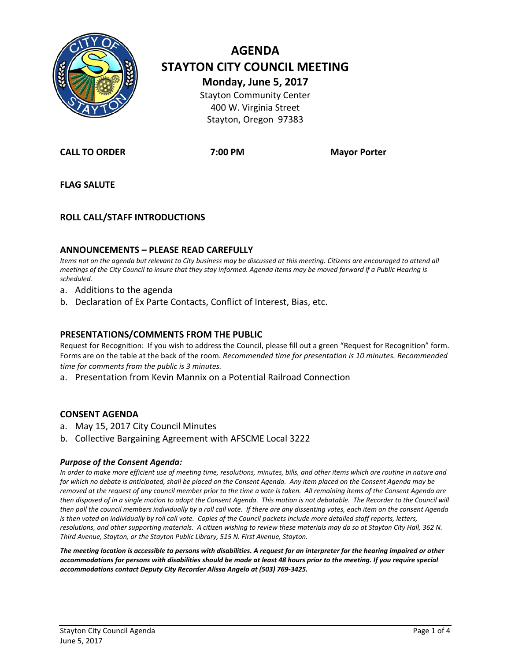

# **AGENDA STAYTON CITY COUNCIL MEETING Monday, June 5, 2017** Stayton Community Center 400 W. Virginia Street

Stayton, Oregon 97383

**CALL TO ORDER 7:00 PM Mayor Porter**

**FLAG SALUTE**

### **ROLL CALL/STAFF INTRODUCTIONS**

#### **ANNOUNCEMENTS – PLEASE READ CAREFULLY**

*Items not on the agenda but relevant to City business may be discussed at this meeting. Citizens are encouraged to attend all meetings of the City Council to insure that they stay informed. Agenda items may be moved forward if a Public Hearing is scheduled.*

- a. Additions to the agenda
- b. Declaration of Ex Parte Contacts, Conflict of Interest, Bias, etc.

#### **PRESENTATIONS/COMMENTS FROM THE PUBLIC**

Request for Recognition: If you wish to address the Council, please fill out a green "Request for Recognition" form. Forms are on the table at the back of the room. *Recommended time for presentation is 10 minutes. Recommended time for comments from the public is 3 minutes.*

a. Presentation from Kevin Mannix on a Potential Railroad Connection

#### **CONSENT AGENDA**

- a. May 15, 2017 City Council Minutes
- b. Collective Bargaining Agreement with AFSCME Local 3222

#### *Purpose of the Consent Agenda:*

*In order to make more efficient use of meeting time, resolutions, minutes, bills, and other items which are routine in nature and for which no debate is anticipated, shall be placed on the Consent Agenda. Any item placed on the Consent Agenda may be removed at the request of any council member prior to the time a vote is taken. All remaining items of the Consent Agenda are then disposed of in a single motion to adopt the Consent Agenda. This motion is not debatable. The Recorder to the Council will then poll the council members individually by a roll call vote. If there are any dissenting votes, each item on the consent Agenda is then voted on individually by roll call vote. Copies of the Council packets include more detailed staff reports, letters, resolutions, and other supporting materials. A citizen wishing to review these materials may do so at Stayton City Hall, 362 N. Third Avenue, Stayton, or the Stayton Public Library, 515 N. First Avenue, Stayton.*

*The meeting location is accessible to persons with disabilities. A request for an interpreter for the hearing impaired or other accommodations for persons with disabilities should be made at least 48 hours prior to the meeting. If you require special accommodations contact Deputy City Recorder Alissa Angelo at (503) 769-3425.*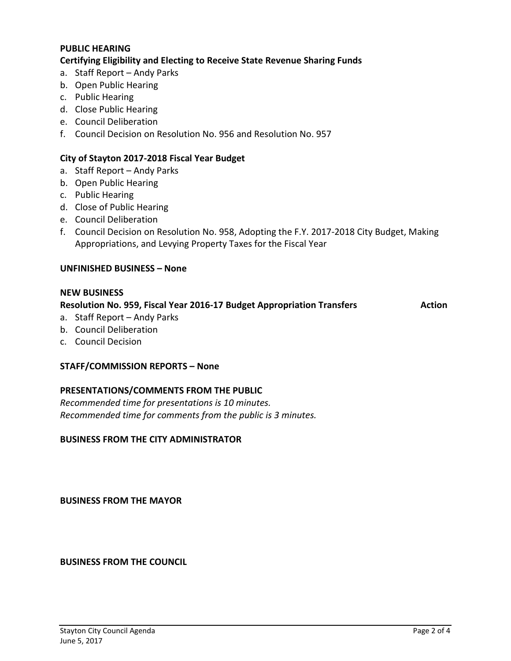### **PUBLIC HEARING**

#### **Certifying Eligibility and Electing to Receive State Revenue Sharing Funds**

- a. Staff Report Andy Parks
- b. Open Public Hearing
- c. Public Hearing
- d. Close Public Hearing
- e. Council Deliberation
- f. Council Decision on Resolution No. 956 and Resolution No. 957

#### **City of Stayton 2017-2018 Fiscal Year Budget**

- a. Staff Report Andy Parks
- b. Open Public Hearing
- c. Public Hearing
- d. Close of Public Hearing
- e. Council Deliberation
- f. Council Decision on Resolution No. 958, Adopting the F.Y. 2017-2018 City Budget, Making Appropriations, and Levying Property Taxes for the Fiscal Year

#### **UNFINISHED BUSINESS – None**

#### **NEW BUSINESS**

#### **Resolution No. 959, Fiscal Year 2016-17 Budget Appropriation Transfers Action**

- a. Staff Report Andy Parks
- b. Council Deliberation
- c. Council Decision

#### **STAFF/COMMISSION REPORTS – None**

#### **PRESENTATIONS/COMMENTS FROM THE PUBLIC**

*Recommended time for presentations is 10 minutes. Recommended time for comments from the public is 3 minutes.*

#### **BUSINESS FROM THE CITY ADMINISTRATOR**

**BUSINESS FROM THE MAYOR**

**BUSINESS FROM THE COUNCIL**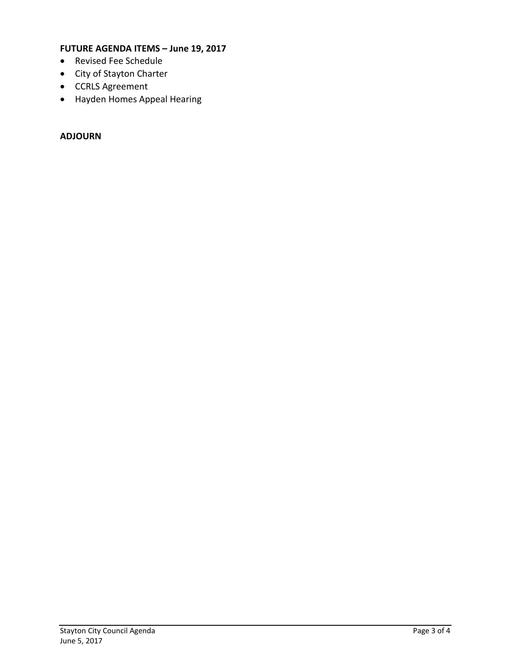### **FUTURE AGENDA ITEMS – June 19, 2017**

- Revised Fee Schedule
- City of Stayton Charter
- CCRLS Agreement
- Hayden Homes Appeal Hearing

### **ADJOURN**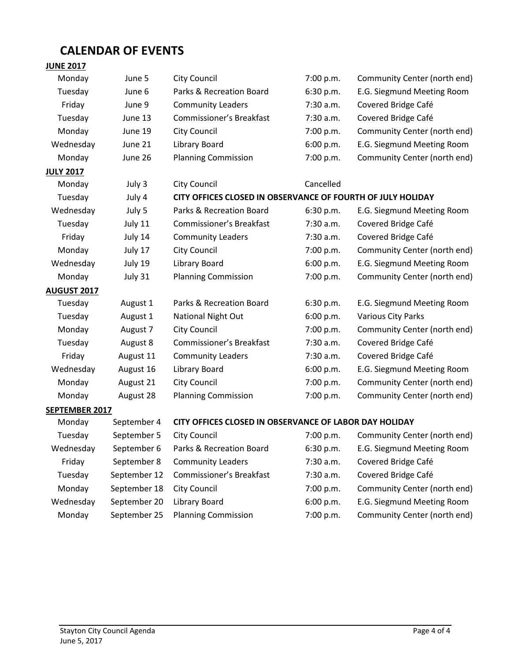# **CALENDAR OF EVENTS**

#### **JUNE 2017**

| Monday                | June 5    | <b>City Council</b>                                         | 7:00 p.m.   | Community Center (north end) |
|-----------------------|-----------|-------------------------------------------------------------|-------------|------------------------------|
| Tuesday               | June 6    | Parks & Recreation Board                                    | 6:30 p.m.   | E.G. Siegmund Meeting Room   |
| Friday                | June 9    | <b>Community Leaders</b>                                    | $7:30$ a.m. | Covered Bridge Café          |
| Tuesday               | June 13   | <b>Commissioner's Breakfast</b>                             | 7:30 a.m.   | Covered Bridge Café          |
| Monday                | June 19   | <b>City Council</b>                                         | 7:00 p.m.   | Community Center (north end) |
| Wednesday             | June 21   | Library Board                                               | 6:00 p.m.   | E.G. Siegmund Meeting Room   |
| Monday                | June 26   | <b>Planning Commission</b>                                  | 7:00 p.m.   | Community Center (north end) |
| <b>JULY 2017</b>      |           |                                                             |             |                              |
| Monday                | July 3    | <b>City Council</b>                                         | Cancelled   |                              |
| Tuesday               | July 4    | CITY OFFICES CLOSED IN OBSERVANCE OF FOURTH OF JULY HOLIDAY |             |                              |
| Wednesday             | July 5    | Parks & Recreation Board                                    | 6:30 p.m.   | E.G. Siegmund Meeting Room   |
| Tuesday               | July 11   | <b>Commissioner's Breakfast</b>                             | $7:30$ a.m. | Covered Bridge Café          |
| Friday                | July 14   | <b>Community Leaders</b>                                    | 7:30 a.m.   | Covered Bridge Café          |
| Monday                | July 17   | <b>City Council</b>                                         | 7:00 p.m.   | Community Center (north end) |
| Wednesday             | July 19   | Library Board                                               | 6:00 p.m.   | E.G. Siegmund Meeting Room   |
| Monday                | July 31   | <b>Planning Commission</b>                                  | 7:00 p.m.   | Community Center (north end) |
| <b>AUGUST 2017</b>    |           |                                                             |             |                              |
| Tuesday               | August 1  | Parks & Recreation Board                                    | 6:30 p.m.   | E.G. Siegmund Meeting Room   |
| Tuesday               | August 1  | National Night Out                                          | 6:00 p.m.   | Various City Parks           |
| Monday                | August 7  | <b>City Council</b>                                         | 7:00 p.m.   | Community Center (north end) |
| Tuesday               | August 8  | <b>Commissioner's Breakfast</b>                             | 7:30 a.m.   | Covered Bridge Café          |
| Friday                | August 11 | <b>Community Leaders</b>                                    | 7:30 a.m.   | Covered Bridge Café          |
| Wednesday             | August 16 | Library Board                                               | 6:00 p.m.   | E.G. Siegmund Meeting Room   |
| Monday                | August 21 | <b>City Council</b>                                         | 7:00 p.m.   | Community Center (north end) |
| Monday                | August 28 | <b>Planning Commission</b>                                  | 7:00 p.m.   | Community Center (north end) |
| <b>SEPTEMBER 2017</b> |           |                                                             |             |                              |

### Monday September 4 **CITY OFFICES CLOSED IN OBSERVANCE OF LABOR DAY HOLIDAY** Tuesday September 5 City Council 7:00 p.m. Community Center (north end) Wednesday September 6 Parks & Recreation Board 6:30 p.m. E.G. Siegmund Meeting Room Friday September 8 Community Leaders 7:30 a.m. Covered Bridge Café Tuesday September 12 Commissioner's Breakfast 7:30 a.m. Covered Bridge Café Monday September 18 City Council 19 and 1:00 p.m. Community Center (north end) Wednesday September 20 Library Board 6:00 p.m. E.G. Siegmund Meeting Room Monday September 25 Planning Commission 7:00 p.m. Community Center (north end)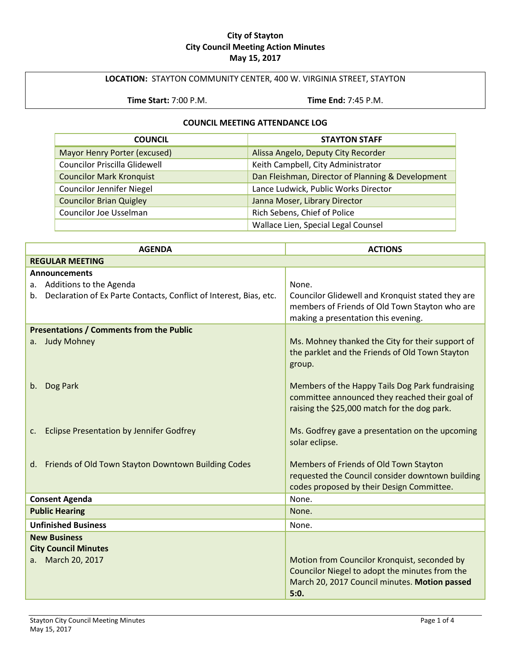#### **City of Stayton City Council Meeting Action Minutes May 15, 2017**

### **LOCATION:** STAYTON COMMUNITY CENTER, 400 W. VIRGINIA STREET, STAYTON

**Time Start:** 7:00 P.M. **Time End:** 7:45 P.M.

### **COUNCIL MEETING ATTENDANCE LOG**

| <b>COUNCIL</b>                       | <b>STAYTON STAFF</b>                              |
|--------------------------------------|---------------------------------------------------|
| Mayor Henry Porter (excused)         | Alissa Angelo, Deputy City Recorder               |
| <b>Councilor Priscilla Glidewell</b> | Keith Campbell, City Administrator                |
| <b>Councilor Mark Kronquist</b>      | Dan Fleishman, Director of Planning & Development |
| <b>Councilor Jennifer Niegel</b>     | Lance Ludwick, Public Works Director              |
| <b>Councilor Brian Quigley</b>       | Janna Moser, Library Director                     |
| Councilor Joe Usselman               | Rich Sebens, Chief of Police                      |
|                                      | Wallace Lien, Special Legal Counsel               |

| <b>AGENDA</b>                                                           | <b>ACTIONS</b>                                                                                                                                          |  |
|-------------------------------------------------------------------------|---------------------------------------------------------------------------------------------------------------------------------------------------------|--|
| <b>REGULAR MEETING</b>                                                  |                                                                                                                                                         |  |
| <b>Announcements</b>                                                    |                                                                                                                                                         |  |
| a. Additions to the Agenda                                              | None.                                                                                                                                                   |  |
| b. Declaration of Ex Parte Contacts, Conflict of Interest, Bias, etc.   | Councilor Glidewell and Kronquist stated they are<br>members of Friends of Old Town Stayton who are<br>making a presentation this evening.              |  |
| <b>Presentations / Comments from the Public</b>                         |                                                                                                                                                         |  |
| a. Judy Mohney                                                          | Ms. Mohney thanked the City for their support of<br>the parklet and the Friends of Old Town Stayton<br>group.                                           |  |
| Dog Park<br>b.                                                          | Members of the Happy Tails Dog Park fundraising<br>committee announced they reached their goal of<br>raising the \$25,000 match for the dog park.       |  |
| <b>Eclipse Presentation by Jennifer Godfrey</b><br>C.                   | Ms. Godfrey gave a presentation on the upcoming<br>solar eclipse.                                                                                       |  |
| d. Friends of Old Town Stayton Downtown Building Codes                  | Members of Friends of Old Town Stayton<br>requested the Council consider downtown building<br>codes proposed by their Design Committee.                 |  |
| <b>Consent Agenda</b>                                                   | None.                                                                                                                                                   |  |
| <b>Public Hearing</b>                                                   | None.                                                                                                                                                   |  |
| <b>Unfinished Business</b>                                              | None.                                                                                                                                                   |  |
| <b>New Business</b><br><b>City Council Minutes</b><br>a. March 20, 2017 | Motion from Councilor Kronquist, seconded by<br>Councilor Niegel to adopt the minutes from the<br>March 20, 2017 Council minutes. Motion passed<br>5:0. |  |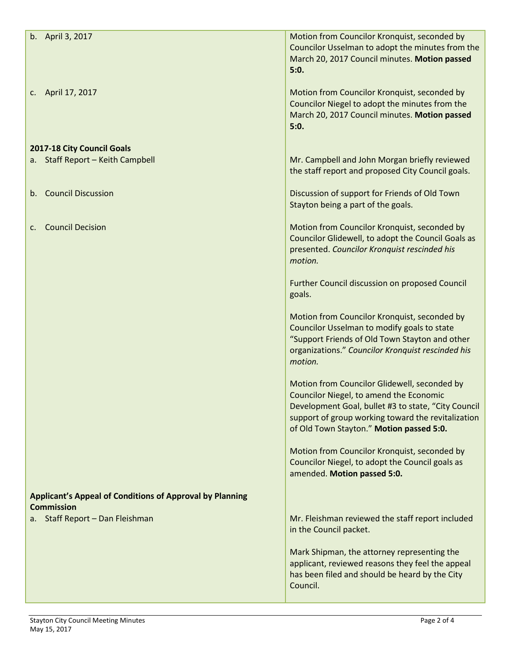| b. April 3, 2017                                                                     | Motion from Councilor Kronquist, seconded by                                                       |
|--------------------------------------------------------------------------------------|----------------------------------------------------------------------------------------------------|
|                                                                                      | Councilor Usselman to adopt the minutes from the                                                   |
|                                                                                      | March 20, 2017 Council minutes. Motion passed                                                      |
|                                                                                      | 5:0.                                                                                               |
| April 17, 2017<br>C.                                                                 | Motion from Councilor Kronquist, seconded by                                                       |
|                                                                                      | Councilor Niegel to adopt the minutes from the                                                     |
|                                                                                      | March 20, 2017 Council minutes. Motion passed                                                      |
|                                                                                      | 5:0.                                                                                               |
|                                                                                      |                                                                                                    |
| 2017-18 City Council Goals                                                           |                                                                                                    |
| a. Staff Report - Keith Campbell                                                     | Mr. Campbell and John Morgan briefly reviewed<br>the staff report and proposed City Council goals. |
|                                                                                      |                                                                                                    |
| <b>Council Discussion</b><br>$b_{\cdot}$                                             | Discussion of support for Friends of Old Town                                                      |
|                                                                                      | Stayton being a part of the goals.                                                                 |
|                                                                                      |                                                                                                    |
| <b>Council Decision</b><br>c.                                                        | Motion from Councilor Kronquist, seconded by                                                       |
|                                                                                      | Councilor Glidewell, to adopt the Council Goals as<br>presented. Councilor Kronquist rescinded his |
|                                                                                      | motion.                                                                                            |
|                                                                                      |                                                                                                    |
|                                                                                      | Further Council discussion on proposed Council                                                     |
|                                                                                      | goals.                                                                                             |
|                                                                                      | Motion from Councilor Kronquist, seconded by                                                       |
|                                                                                      | Councilor Usselman to modify goals to state                                                        |
|                                                                                      | "Support Friends of Old Town Stayton and other                                                     |
|                                                                                      | organizations." Councilor Kronquist rescinded his                                                  |
|                                                                                      | motion.                                                                                            |
|                                                                                      |                                                                                                    |
|                                                                                      | Motion from Councilor Glidewell, seconded by<br>Councilor Niegel, to amend the Economic            |
|                                                                                      | Development Goal, bullet #3 to state, "City Council                                                |
|                                                                                      | support of group working toward the revitalization                                                 |
|                                                                                      | of Old Town Stayton." Motion passed 5:0.                                                           |
|                                                                                      |                                                                                                    |
|                                                                                      | Motion from Councilor Kronquist, seconded by<br>Councilor Niegel, to adopt the Council goals as    |
|                                                                                      | amended. Motion passed 5:0.                                                                        |
|                                                                                      |                                                                                                    |
| <b>Applicant's Appeal of Conditions of Approval by Planning</b><br><b>Commission</b> |                                                                                                    |
| Staff Report - Dan Fleishman<br>a.                                                   | Mr. Fleishman reviewed the staff report included                                                   |
|                                                                                      | in the Council packet.                                                                             |
|                                                                                      |                                                                                                    |
|                                                                                      | Mark Shipman, the attorney representing the<br>applicant, reviewed reasons they feel the appeal    |
|                                                                                      | has been filed and should be heard by the City                                                     |
|                                                                                      | Council.                                                                                           |
|                                                                                      |                                                                                                    |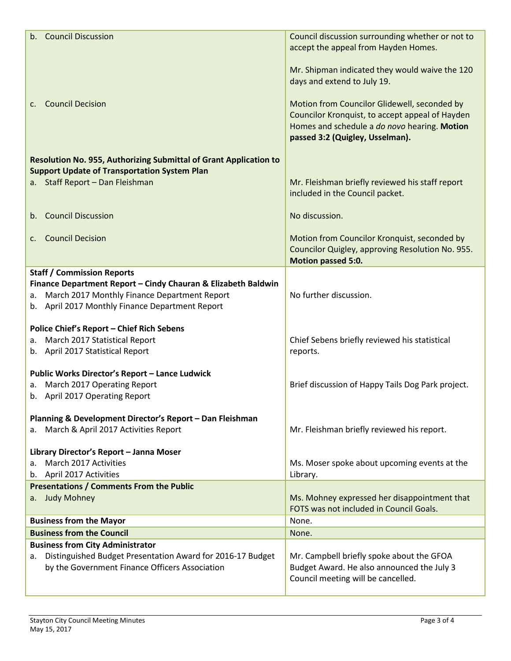| b. Council Discussion                                                                                                                                                  | Council discussion surrounding whether or not to<br>accept the appeal from Hayden Homes.                                                                                           |
|------------------------------------------------------------------------------------------------------------------------------------------------------------------------|------------------------------------------------------------------------------------------------------------------------------------------------------------------------------------|
|                                                                                                                                                                        |                                                                                                                                                                                    |
|                                                                                                                                                                        | Mr. Shipman indicated they would waive the 120<br>days and extend to July 19.                                                                                                      |
| c. Council Decision                                                                                                                                                    | Motion from Councilor Glidewell, seconded by<br>Councilor Kronquist, to accept appeal of Hayden<br>Homes and schedule a do novo hearing. Motion<br>passed 3:2 (Quigley, Usselman). |
| Resolution No. 955, Authorizing Submittal of Grant Application to                                                                                                      |                                                                                                                                                                                    |
| <b>Support Update of Transportation System Plan</b><br>a. Staff Report - Dan Fleishman                                                                                 | Mr. Fleishman briefly reviewed his staff report                                                                                                                                    |
|                                                                                                                                                                        | included in the Council packet.                                                                                                                                                    |
| b. Council Discussion                                                                                                                                                  | No discussion.                                                                                                                                                                     |
| <b>Council Decision</b><br>C.                                                                                                                                          | Motion from Councilor Kronquist, seconded by<br>Councilor Quigley, approving Resolution No. 955.<br>Motion passed 5:0.                                                             |
| <b>Staff / Commission Reports</b>                                                                                                                                      |                                                                                                                                                                                    |
| Finance Department Report - Cindy Chauran & Elizabeth Baldwin<br>March 2017 Monthly Finance Department Report<br>а.<br>b. April 2017 Monthly Finance Department Report | No further discussion.                                                                                                                                                             |
| <b>Police Chief's Report - Chief Rich Sebens</b>                                                                                                                       |                                                                                                                                                                                    |
| March 2017 Statistical Report<br>a.<br>b. April 2017 Statistical Report                                                                                                | Chief Sebens briefly reviewed his statistical<br>reports.                                                                                                                          |
|                                                                                                                                                                        |                                                                                                                                                                                    |
| Public Works Director's Report - Lance Ludwick<br>a. March 2017 Operating Report                                                                                       | Brief discussion of Happy Tails Dog Park project.                                                                                                                                  |
| b. April 2017 Operating Report                                                                                                                                         |                                                                                                                                                                                    |
| Planning & Development Director's Report - Dan Fleishman                                                                                                               |                                                                                                                                                                                    |
| March & April 2017 Activities Report<br>а.                                                                                                                             | Mr. Fleishman briefly reviewed his report.                                                                                                                                         |
| Library Director's Report - Janna Moser                                                                                                                                |                                                                                                                                                                                    |
| March 2017 Activities<br>a.                                                                                                                                            | Ms. Moser spoke about upcoming events at the                                                                                                                                       |
| b. April 2017 Activities                                                                                                                                               | Library.                                                                                                                                                                           |
| <b>Presentations / Comments From the Public</b>                                                                                                                        |                                                                                                                                                                                    |
| <b>Judy Mohney</b><br>а.                                                                                                                                               | Ms. Mohney expressed her disappointment that<br>FOTS was not included in Council Goals.                                                                                            |
| <b>Business from the Mayor</b>                                                                                                                                         | None.                                                                                                                                                                              |
| <b>Business from the Council</b>                                                                                                                                       | None.                                                                                                                                                                              |
| <b>Business from City Administrator</b><br>Distinguished Budget Presentation Award for 2016-17 Budget                                                                  | Mr. Campbell briefly spoke about the GFOA                                                                                                                                          |
| а.<br>by the Government Finance Officers Association                                                                                                                   | Budget Award. He also announced the July 3<br>Council meeting will be cancelled.                                                                                                   |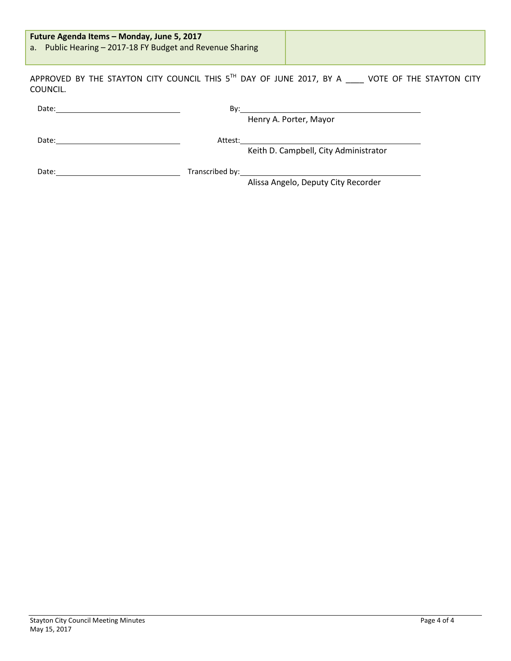| <b>Future Agenda Items - Monday, June 5, 2017</b><br>a. Public Hearing - 2017-18 FY Budget and Revenue Sharing |
|----------------------------------------------------------------------------------------------------------------|
|----------------------------------------------------------------------------------------------------------------|

APPROVED BY THE STAYTON CITY COUNCIL THIS  $5^{th}$  DAY OF JUNE 2017, BY A  $\_\_\_\_\$  VOTE OF THE STAYTON CITY COUNCIL.

| Date: | By:     | <u>and the state of the state of the state of the state of the state of the state of the state of the state of the state of the state of the state of the state of the state of the state of the state of the state of the state</u> |
|-------|---------|--------------------------------------------------------------------------------------------------------------------------------------------------------------------------------------------------------------------------------------|
|       |         | Henry A. Porter, Mayor                                                                                                                                                                                                               |
| Date: | Attest: | Keith D. Campbell, City Administrator                                                                                                                                                                                                |
| Date: |         | Alissa Angelo, Deputy City Recorder                                                                                                                                                                                                  |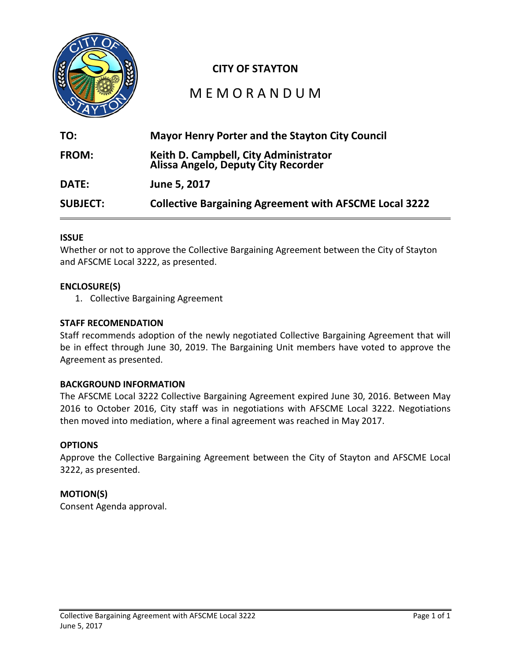

# **CITY OF STAYTON**

# M E M O R A N D U M

| TO:             | <b>Mayor Henry Porter and the Stayton City Council</b>                       |
|-----------------|------------------------------------------------------------------------------|
| <b>FROM:</b>    | Keith D. Campbell, City Administrator<br>Alissa Angelo, Deputy City Recorder |
| <b>DATE:</b>    | June 5, 2017                                                                 |
| <b>SUBJECT:</b> | <b>Collective Bargaining Agreement with AFSCME Local 3222</b>                |

### **ISSUE**

Whether or not to approve the Collective Bargaining Agreement between the City of Stayton and AFSCME Local 3222, as presented.

### **ENCLOSURE(S)**

1. Collective Bargaining Agreement

### **STAFF RECOMENDATION**

Staff recommends adoption of the newly negotiated Collective Bargaining Agreement that will be in effect through June 30, 2019. The Bargaining Unit members have voted to approve the Agreement as presented.

### **BACKGROUND INFORMATION**

The AFSCME Local 3222 Collective Bargaining Agreement expired June 30, 2016. Between May 2016 to October 2016, City staff was in negotiations with AFSCME Local 3222. Negotiations then moved into mediation, where a final agreement was reached in May 2017.

### **OPTIONS**

Approve the Collective Bargaining Agreement between the City of Stayton and AFSCME Local 3222, as presented.

### **MOTION(S)**

Consent Agenda approval.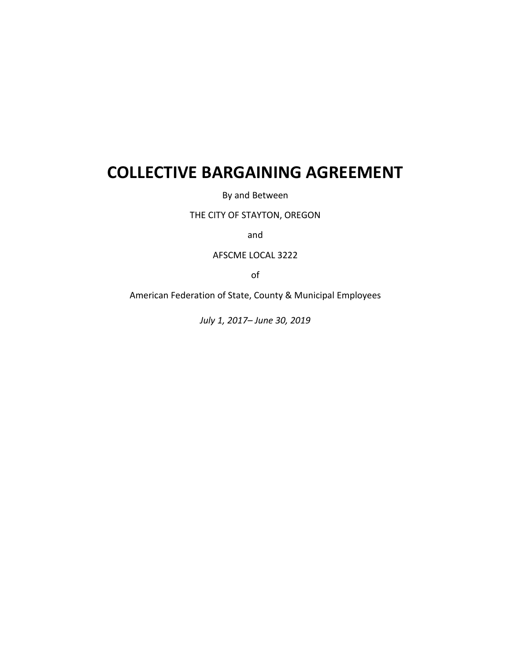# **COLLECTIVE BARGAINING AGREEMENT**

By and Between

THE CITY OF STAYTON, OREGON

and

AFSCME LOCAL 3222

of

American Federation of State, County & Municipal Employees

*July 1, 2017– June 30, 2019*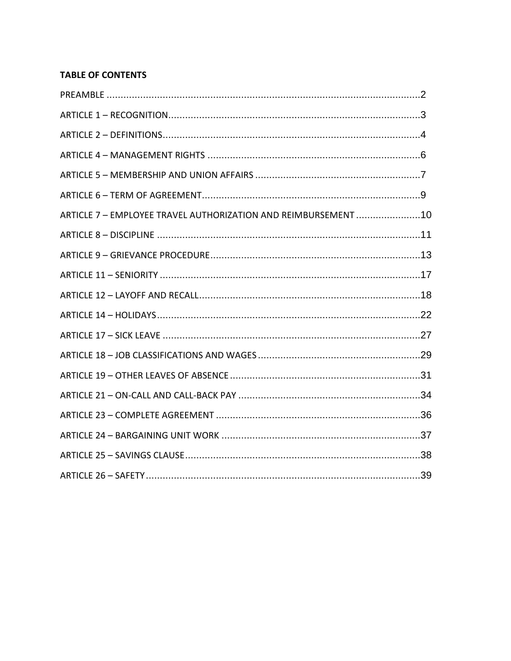### **TABLE OF CONTENTS**

| ARTICLE 7 - EMPLOYEE TRAVEL AUTHORIZATION AND REIMBURSEMENT 10 |  |
|----------------------------------------------------------------|--|
|                                                                |  |
|                                                                |  |
|                                                                |  |
|                                                                |  |
|                                                                |  |
|                                                                |  |
|                                                                |  |
|                                                                |  |
|                                                                |  |
|                                                                |  |
|                                                                |  |
|                                                                |  |
|                                                                |  |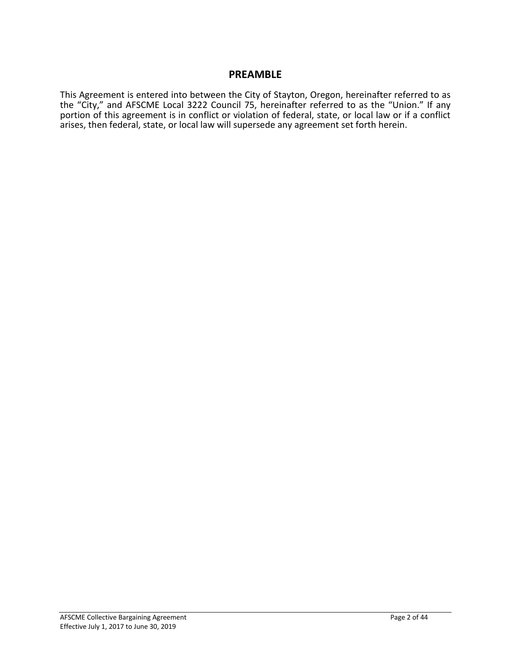### **PREAMBLE**

This Agreement is entered into between the City of Stayton, Oregon, hereinafter referred to as the "City," and AFSCME Local 3222 Council 75, hereinafter referred to as the "Union." If any portion of this agreement is in conflict or violation of federal, state, or local law or if a conflict arises, then federal, state, or local law will supersede any agreement set forth herein.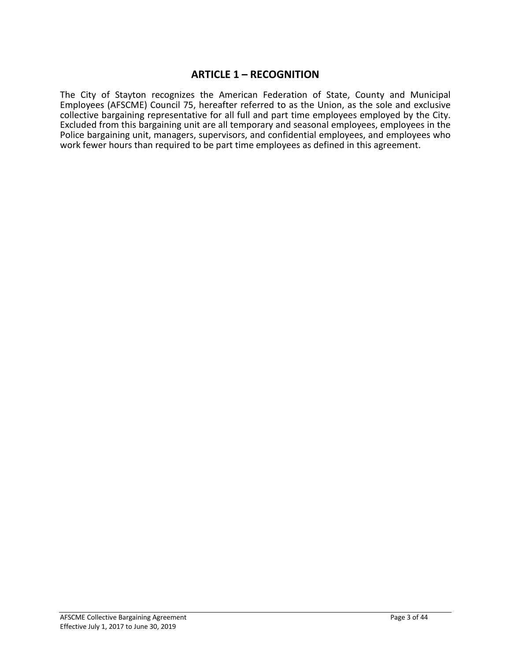### **ARTICLE 1 – RECOGNITION**

The City of Stayton recognizes the American Federation of State, County and Municipal Employees (AFSCME) Council 75, hereafter referred to as the Union, as the sole and exclusive collective bargaining representative for all full and part time employees employed by the City. Excluded from this bargaining unit are all temporary and seasonal employees, employees in the Police bargaining unit, managers, supervisors, and confidential employees, and employees who work fewer hours than required to be part time employees as defined in this agreement.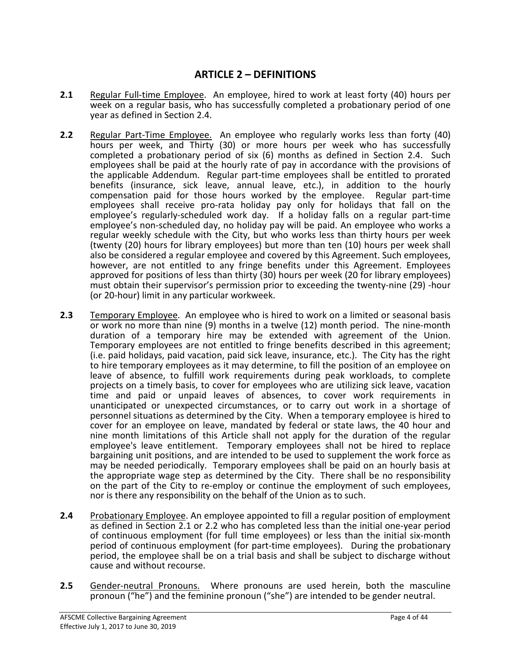### **ARTICLE 2 – DEFINITIONS**

- **2.1** Regular Full-time Employee. An employee, hired to work at least forty (40) hours per week on a regular basis, who has successfully completed a probationary period of one year as defined in Section 2.4.
- **2.2** Regular Part-Time Employee. An employee who regularly works less than forty (40) hours per week, and Thirty (30) or more hours per week who has successfully completed a probationary period of six (6) months as defined in Section 2.4. Such employees shall be paid at the hourly rate of pay in accordance with the provisions of the applicable Addendum. Regular part-time employees shall be entitled to prorated benefits (insurance, sick leave, annual leave, etc.), in addition to the hourly compensation paid for those hours worked by the employee. Regular part-time employees shall receive pro-rata holiday pay only for holidays that fall on the employee's regularly-scheduled work day. If a holiday falls on a regular part-time employee's non-scheduled day, no holiday pay will be paid. An employee who works a regular weekly schedule with the City, but who works less than thirty hours per week (twenty (20) hours for library employees) but more than ten (10) hours per week shall also be considered a regular employee and covered by this Agreement. Such employees, however, are not entitled to any fringe benefits under this Agreement. Employees approved for positions of less than thirty (30) hours per week (20 for library employees) must obtain their supervisor's permission prior to exceeding the twenty-nine (29) -hour (or 20-hour) limit in any particular workweek.
- **2.3** Temporary Employee. An employee who is hired to work on a limited or seasonal basis or work no more than nine (9) months in a twelve (12) month period. The nine-month duration of a temporary hire may be extended with agreement of the Union. Temporary employees are not entitled to fringe benefits described in this agreement; (i.e. paid holidays, paid vacation, paid sick leave, insurance, etc.). The City has the right to hire temporary employees as it may determine, to fill the position of an employee on leave of absence, to fulfill work requirements during peak workloads, to complete projects on a timely basis, to cover for employees who are utilizing sick leave, vacation time and paid or unpaid leaves of absences, to cover work requirements in unanticipated or unexpected circumstances, or to carry out work in a shortage of personnel situations as determined by the City. When a temporary employee is hired to cover for an employee on leave, mandated by federal or state laws, the 40 hour and nine month limitations of this Article shall not apply for the duration of the regular employee's leave entitlement. Temporary employees shall not be hired to replace bargaining unit positions, and are intended to be used to supplement the work force as may be needed periodically. Temporary employees shall be paid on an hourly basis at the appropriate wage step as determined by the City. There shall be no responsibility on the part of the City to re-employ or continue the employment of such employees, nor is there any responsibility on the behalf of the Union as to such.
- **2.4** Probationary Employee. An employee appointed to fill a regular position of employment as defined in Section 2.1 or 2.2 who has completed less than the initial one-year period of continuous employment (for full time employees) or less than the initial six-month period of continuous employment (for part-time employees). During the probationary period, the employee shall be on a trial basis and shall be subject to discharge without cause and without recourse.
- **2.5** Gender-neutral Pronouns. Where pronouns are used herein, both the masculine pronoun ("he") and the feminine pronoun ("she") are intended to be gender neutral.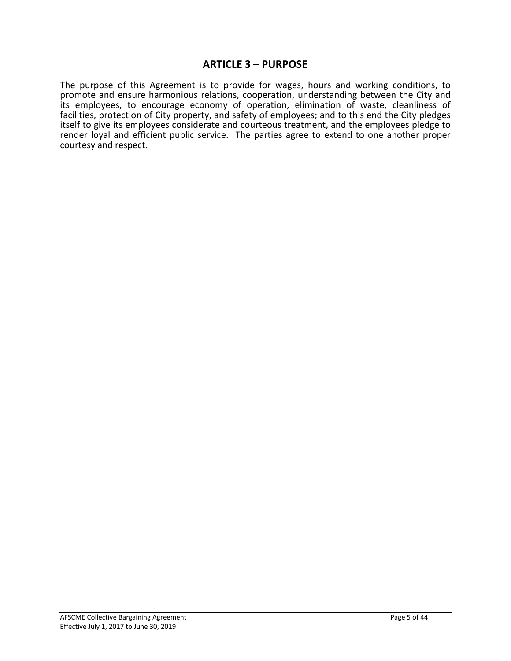### **ARTICLE 3 – PURPOSE**

The purpose of this Agreement is to provide for wages, hours and working conditions, to promote and ensure harmonious relations, cooperation, understanding between the City and its employees, to encourage economy of operation, elimination of waste, cleanliness of facilities, protection of City property, and safety of employees; and to this end the City pledges itself to give its employees considerate and courteous treatment, and the employees pledge to render loyal and efficient public service. The parties agree to extend to one another proper courtesy and respect.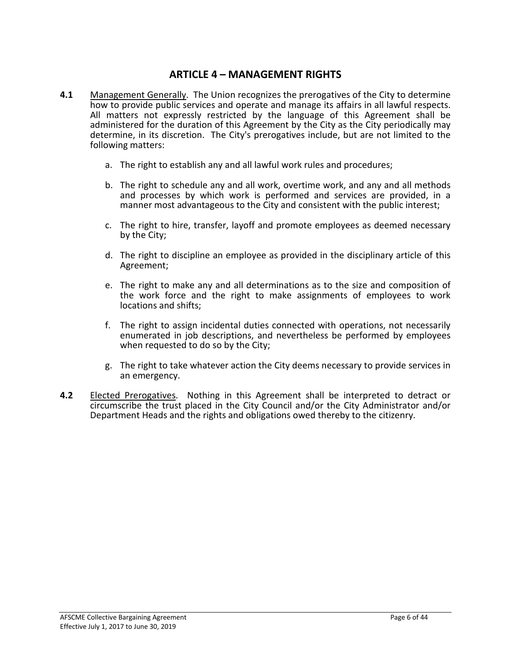### **ARTICLE 4 – MANAGEMENT RIGHTS**

- **4.1** Management Generally. The Union recognizes the prerogatives of the City to determine how to provide public services and operate and manage its affairs in all lawful respects. All matters not expressly restricted by the language of this Agreement shall be administered for the duration of this Agreement by the City as the City periodically may determine, in its discretion. The City's prerogatives include, but are not limited to the following matters:
	- a. The right to establish any and all lawful work rules and procedures;
	- b. The right to schedule any and all work, overtime work, and any and all methods and processes by which work is performed and services are provided, in a manner most advantageous to the City and consistent with the public interest;
	- c. The right to hire, transfer, layoff and promote employees as deemed necessary by the City;
	- d. The right to discipline an employee as provided in the disciplinary article of this Agreement;
	- e. The right to make any and all determinations as to the size and composition of the work force and the right to make assignments of employees to work locations and shifts;
	- f. The right to assign incidental duties connected with operations, not necessarily enumerated in job descriptions, and nevertheless be performed by employees when requested to do so by the City;
	- g. The right to take whatever action the City deems necessary to provide services in an emergency.
- **4.2** Elected Prerogatives. Nothing in this Agreement shall be interpreted to detract or circumscribe the trust placed in the City Council and/or the City Administrator and/or Department Heads and the rights and obligations owed thereby to the citizenry.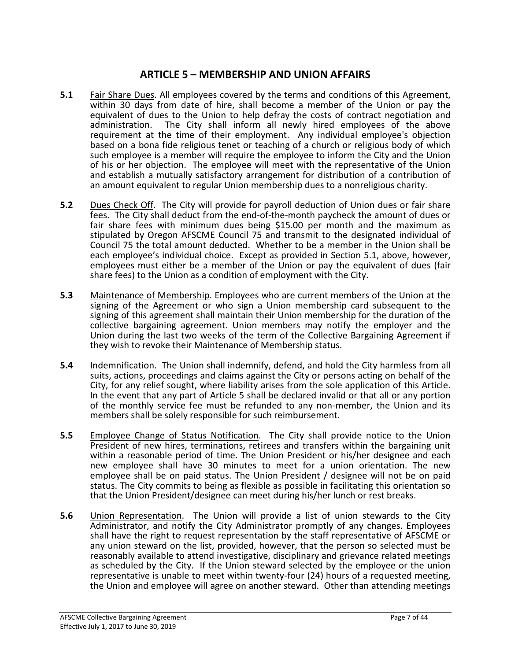### **ARTICLE 5 – MEMBERSHIP AND UNION AFFAIRS**

- **5.1** Fair Share Dues. All employees covered by the terms and conditions of this Agreement, within 30 days from date of hire, shall become a member of the Union or pay the equivalent of dues to the Union to help defray the costs of contract negotiation and administration. The City shall inform all newly hired employees of the above requirement at the time of their employment. Any individual employee's objection based on a bona fide religious tenet or teaching of a church or religious body of which such employee is a member will require the employee to inform the City and the Union of his or her objection. The employee will meet with the representative of the Union and establish a mutually satisfactory arrangement for distribution of a contribution of an amount equivalent to regular Union membership dues to a nonreligious charity.
- **5.2** Dues Check Off. The City will provide for payroll deduction of Union dues or fair share fees. The City shall deduct from the end-of-the-month paycheck the amount of dues or fair share fees with minimum dues being \$15.00 per month and the maximum as stipulated by Oregon AFSCME Council 75 and transmit to the designated individual of Council 75 the total amount deducted. Whether to be a member in the Union shall be each employee's individual choice. Except as provided in Section 5.1, above, however, employees must either be a member of the Union or pay the equivalent of dues (fair share fees) to the Union as a condition of employment with the City.
- **5.3** Maintenance of Membership. Employees who are current members of the Union at the signing of the Agreement or who sign a Union membership card subsequent to the signing of this agreement shall maintain their Union membership for the duration of the collective bargaining agreement. Union members may notify the employer and the Union during the last two weeks of the term of the Collective Bargaining Agreement if they wish to revoke their Maintenance of Membership status.
- **5.4** Indemnification. The Union shall indemnify, defend, and hold the City harmless from all suits, actions, proceedings and claims against the City or persons acting on behalf of the City, for any relief sought, where liability arises from the sole application of this Article. In the event that any part of Article 5 shall be declared invalid or that all or any portion of the monthly service fee must be refunded to any non-member, the Union and its members shall be solely responsible for such reimbursement.
- **5.5** Employee Change of Status Notification. The City shall provide notice to the Union President of new hires, terminations, retirees and transfers within the bargaining unit within a reasonable period of time. The Union President or his/her designee and each new employee shall have 30 minutes to meet for a union orientation. The new employee shall be on paid status. The Union President / designee will not be on paid status. The City commits to being as flexible as possible in facilitating this orientation so that the Union President/designee can meet during his/her lunch or rest breaks.
- **5.6** Union Representation. The Union will provide a list of union stewards to the City Administrator, and notify the City Administrator promptly of any changes. Employees shall have the right to request representation by the staff representative of AFSCME or any union steward on the list, provided, however, that the person so selected must be reasonably available to attend investigative, disciplinary and grievance related meetings as scheduled by the City. If the Union steward selected by the employee or the union representative is unable to meet within twenty-four (24) hours of a requested meeting, the Union and employee will agree on another steward. Other than attending meetings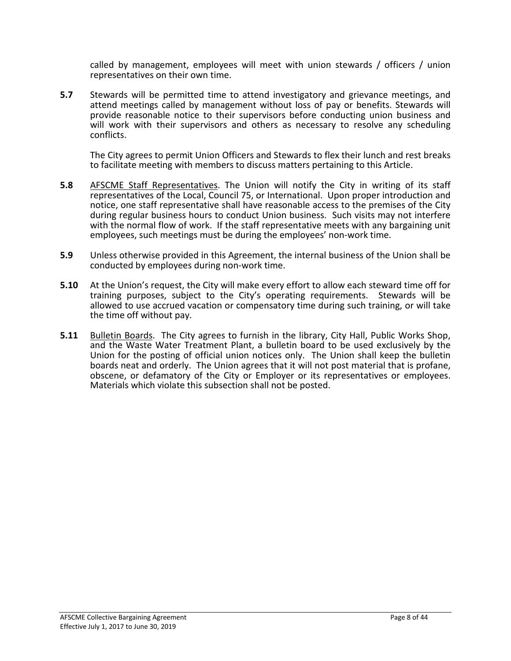called by management, employees will meet with union stewards / officers / union representatives on their own time.

**5.7** Stewards will be permitted time to attend investigatory and grievance meetings, and attend meetings called by management without loss of pay or benefits. Stewards will provide reasonable notice to their supervisors before conducting union business and will work with their supervisors and others as necessary to resolve any scheduling conflicts.

The City agrees to permit Union Officers and Stewards to flex their lunch and rest breaks to facilitate meeting with members to discuss matters pertaining to this Article.

- **5.8** AFSCME Staff Representatives. The Union will notify the City in writing of its staff representatives of the Local, Council 75, or International. Upon proper introduction and notice, one staff representative shall have reasonable access to the premises of the City during regular business hours to conduct Union business. Such visits may not interfere with the normal flow of work. If the staff representative meets with any bargaining unit employees, such meetings must be during the employees' non-work time.
- **5.9** Unless otherwise provided in this Agreement, the internal business of the Union shall be conducted by employees during non-work time.
- **5.10** At the Union's request, the City will make every effort to allow each steward time off for training purposes, subject to the City's operating requirements. Stewards will be allowed to use accrued vacation or compensatory time during such training, or will take the time off without pay.
- **5.11** Bulletin Boards. The City agrees to furnish in the library, City Hall, Public Works Shop, and the Waste Water Treatment Plant, a bulletin board to be used exclusively by the Union for the posting of official union notices only. The Union shall keep the bulletin boards neat and orderly. The Union agrees that it will not post material that is profane, obscene, or defamatory of the City or Employer or its representatives or employees. Materials which violate this subsection shall not be posted.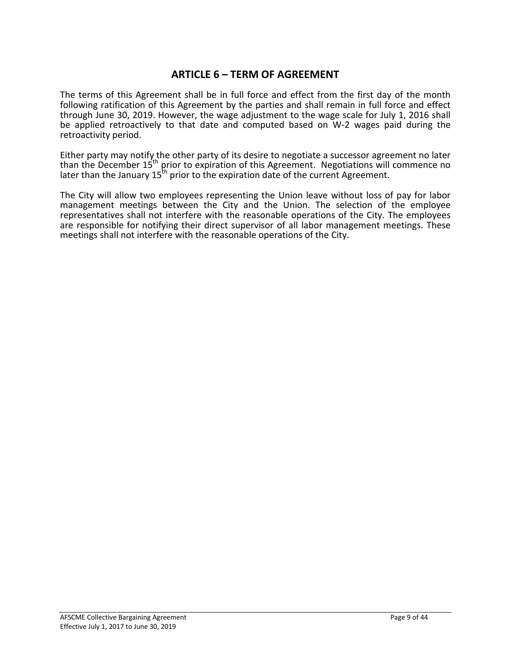### **ARTICLE 6 – TERM OF AGREEMENT**

The terms of this Agreement shall be in full force and effect from the first day of the month following ratification of this Agreement by the parties and shall remain in full force and effect through June 30, 2019. However, the wage adjustment to the wage scale for July 1, 2016 shall be applied retroactively to that date and computed based on W-2 wages paid during the retroactivity period.

Either party may notify the other party of its desire to negotiate a successor agreement no later than the December 15th prior to expiration of this Agreement. Negotiations will commence no later than the January  $15<sup>th</sup>$  prior to the expiration date of the current Agreement.

The City will allow two employees representing the Union leave without loss of pay for labor management meetings between the City and the Union. The selection of the employee representatives shall not interfere with the reasonable operations of the City. The employees are responsible for notifying their direct supervisor of all labor management meetings. These meetings shall not interfere with the reasonable operations of the City.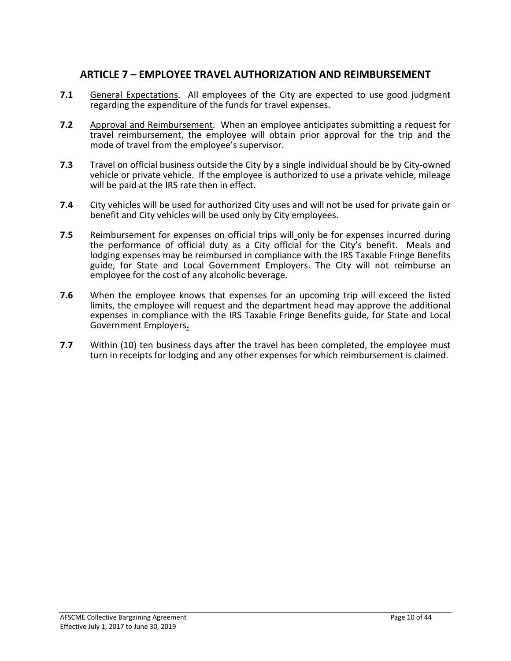### **ARTICLE 7 – EMPLOYEE TRAVEL AUTHORIZATION AND REIMBURSEMENT**

- **7.1** General Expectations. All employees of the City are expected to use good judgment regarding the expenditure of the funds for travel expenses.
- **7.2** Approval and Reimbursement. When an employee anticipates submitting a request for travel reimbursement, the employee will obtain prior approval for the trip and the mode of travel from the employee's supervisor.
- **7.3** Travel on official business outside the City by a single individual should be by City-owned vehicle or private vehicle. If the employee is authorized to use a private vehicle, mileage will be paid at the IRS rate then in effect.
- **7.4** City vehicles will be used for authorized City uses and will not be used for private gain or benefit and City vehicles will be used only by City employees.
- **7.5** Reimbursement for expenses on official trips will only be for expenses incurred during the performance of official duty as a City official for the City's benefit. Meals and lodging expenses may be reimbursed in compliance with the IRS Taxable Fringe Benefits guide, for State and Local Government Employers. The City will not reimburse an employee for the cost of any alcoholic beverage.
- **7.6** When the employee knows that expenses for an upcoming trip will exceed the listed limits, the employee will request and the department head may approve the additional expenses in compliance with the IRS Taxable Fringe Benefits guide, for State and Local Government Employers**.**
- **7.7** Within (10) ten business days after the travel has been completed, the employee must turn in receipts for lodging and any other expenses for which reimbursement is claimed.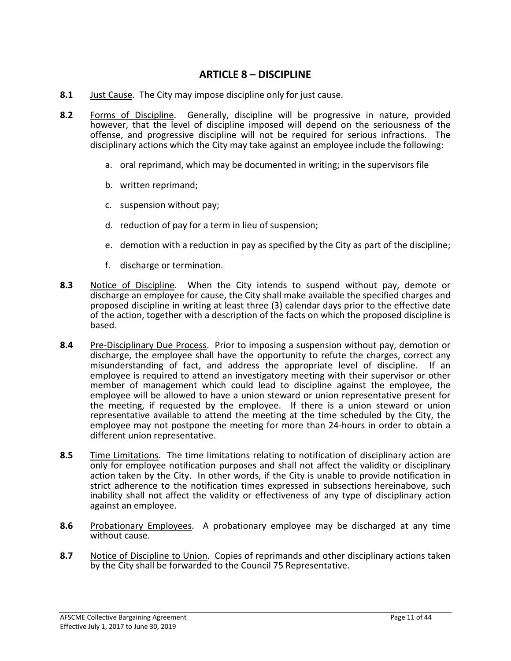### **ARTICLE 8 – DISCIPLINE**

- **8.1** Just Cause. The City may impose discipline only for just cause.
- **8.2** Forms of Discipline. Generally, discipline will be progressive in nature, provided however, that the level of discipline imposed will depend on the seriousness of the offense, and progressive discipline will not be required for serious infractions. The disciplinary actions which the City may take against an employee include the following:
	- a. oral reprimand, which may be documented in writing; in the supervisors file
	- b. written reprimand;
	- c. suspension without pay;
	- d. reduction of pay for a term in lieu of suspension;
	- e. demotion with a reduction in pay as specified by the City as part of the discipline;
	- f. discharge or termination.
- **8.3** Notice of Discipline. When the City intends to suspend without pay, demote or discharge an employee for cause, the City shall make available the specified charges and proposed discipline in writing at least three (3) calendar days prior to the effective date of the action, together with a description of the facts on which the proposed discipline is based.
- **8.4** Pre-Disciplinary Due Process. Prior to imposing a suspension without pay, demotion or discharge, the employee shall have the opportunity to refute the charges, correct any misunderstanding of fact, and address the appropriate level of discipline. If an employee is required to attend an investigatory meeting with their supervisor or other member of management which could lead to discipline against the employee, the employee will be allowed to have a union steward or union representative present for the meeting, if requested by the employee. If there is a union steward or union representative available to attend the meeting at the time scheduled by the City, the employee may not postpone the meeting for more than 24-hours in order to obtain a different union representative.
- **8.5** Time Limitations. The time limitations relating to notification of disciplinary action are only for employee notification purposes and shall not affect the validity or disciplinary action taken by the City. In other words, if the City is unable to provide notification in strict adherence to the notification times expressed in subsections hereinabove, such inability shall not affect the validity or effectiveness of any type of disciplinary action against an employee.
- **8.6** Probationary Employees. A probationary employee may be discharged at any time without cause.
- **8.7** Notice of Discipline to Union. Copies of reprimands and other disciplinary actions taken by the City shall be forwarded to the Council 75 Representative.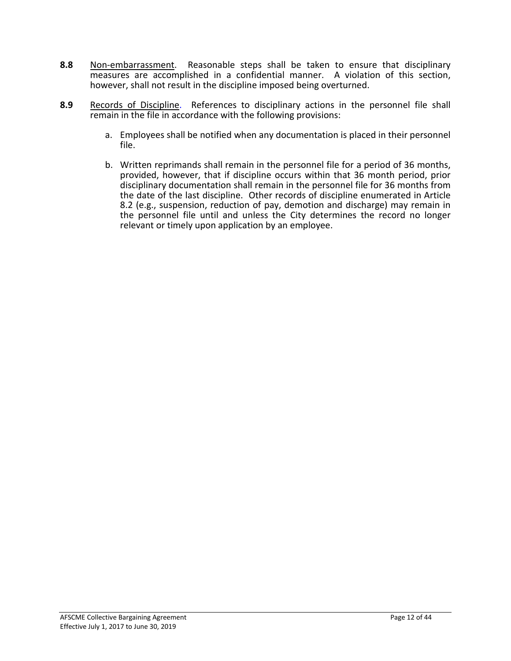- **8.8** Non-embarrassment. Reasonable steps shall be taken to ensure that disciplinary measures are accomplished in a confidential manner. A violation of this section, however, shall not result in the discipline imposed being overturned.
- **8.9** Records of Discipline. References to disciplinary actions in the personnel file shall remain in the file in accordance with the following provisions:
	- a. Employees shall be notified when any documentation is placed in their personnel file.
	- b. Written reprimands shall remain in the personnel file for a period of 36 months, provided, however, that if discipline occurs within that 36 month period, prior disciplinary documentation shall remain in the personnel file for 36 months from the date of the last discipline. Other records of discipline enumerated in Article 8.2 (e.g., suspension, reduction of pay, demotion and discharge) may remain in the personnel file until and unless the City determines the record no longer relevant or timely upon application by an employee.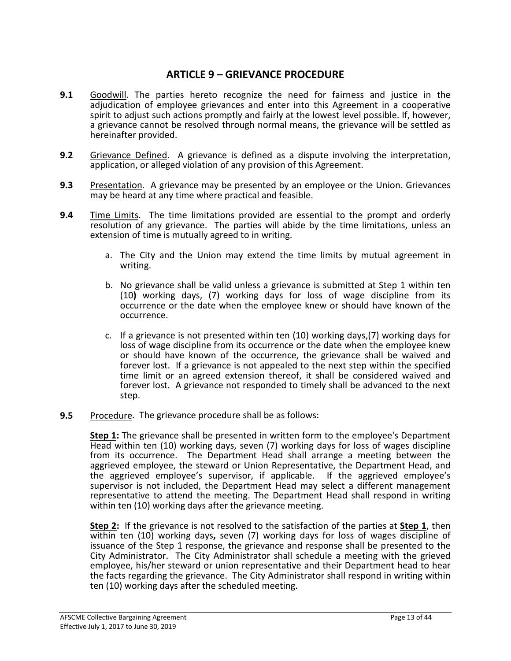### **ARTICLE 9 – GRIEVANCE PROCEDURE**

- **9.1** Goodwill. The parties hereto recognize the need for fairness and justice in the adjudication of employee grievances and enter into this Agreement in a cooperative spirit to adjust such actions promptly and fairly at the lowest level possible. If, however, a grievance cannot be resolved through normal means, the grievance will be settled as hereinafter provided.
- **9.2** Grievance Defined. A grievance is defined as a dispute involving the interpretation, application, or alleged violation of any provision of this Agreement.
- **9.3** Presentation. A grievance may be presented by an employee or the Union. Grievances may be heard at any time where practical and feasible.
- **9.4** Time Limits. The time limitations provided are essential to the prompt and orderly resolution of any grievance. The parties will abide by the time limitations, unless an extension of time is mutually agreed to in writing.
	- a. The City and the Union may extend the time limits by mutual agreement in writing.
	- b. No grievance shall be valid unless a grievance is submitted at Step 1 within ten (10**)** working days, (7) working days for loss of wage discipline from its occurrence or the date when the employee knew or should have known of the occurrence.
	- c. If a grievance is not presented within ten (10) working days,(7) working days for loss of wage discipline from its occurrence or the date when the employee knew or should have known of the occurrence, the grievance shall be waived and forever lost. If a grievance is not appealed to the next step within the specified time limit or an agreed extension thereof, it shall be considered waived and forever lost. A grievance not responded to timely shall be advanced to the next step.
- **9.5** Procedure. The grievance procedure shall be as follows:

**Step 1:** The grievance shall be presented in written form to the employee's Department Head within ten (10) working days, seven (7) working days for loss of wages discipline from its occurrence. The Department Head shall arrange a meeting between the aggrieved employee, the steward or Union Representative, the Department Head, and the aggrieved employee's supervisor, if applicable. If the aggrieved employee's supervisor is not included, the Department Head may select a different management representative to attend the meeting. The Department Head shall respond in writing within ten (10) working days after the grievance meeting.

**Step 2:** If the grievance is not resolved to the satisfaction of the parties at **Step 1**, then within ten (10) working days**,** seven (7) working days for loss of wages discipline of issuance of the Step 1 response, the grievance and response shall be presented to the City Administrator. The City Administrator shall schedule a meeting with the grieved employee, his/her steward or union representative and their Department head to hear the facts regarding the grievance. The City Administrator shall respond in writing within ten (10) working days after the scheduled meeting.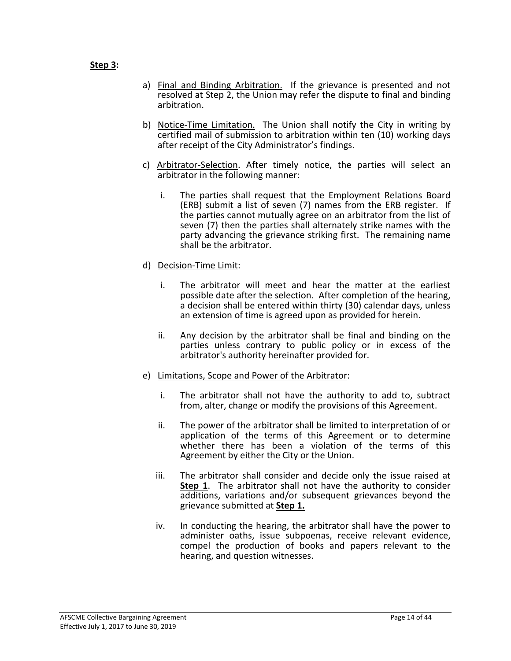#### **Step 3:**

- a) Final and Binding Arbitration. If the grievance is presented and not resolved at Step 2, the Union may refer the dispute to final and binding arbitration.
- b) Notice-Time Limitation. The Union shall notify the City in writing by certified mail of submission to arbitration within ten (10) working days after receipt of the City Administrator's findings.
- c) Arbitrator-Selection. After timely notice, the parties will select an arbitrator in the following manner:
	- i. The parties shall request that the Employment Relations Board (ERB) submit a list of seven (7) names from the ERB register. If the parties cannot mutually agree on an arbitrator from the list of seven (7) then the parties shall alternately strike names with the party advancing the grievance striking first. The remaining name shall be the arbitrator.
- d) Decision-Time Limit:
	- i. The arbitrator will meet and hear the matter at the earliest possible date after the selection. After completion of the hearing, a decision shall be entered within thirty (30) calendar days, unless an extension of time is agreed upon as provided for herein.
	- ii. Any decision by the arbitrator shall be final and binding on the parties unless contrary to public policy or in excess of the arbitrator's authority hereinafter provided for.
- e) Limitations, Scope and Power of the Arbitrator:
	- i. The arbitrator shall not have the authority to add to, subtract from, alter, change or modify the provisions of this Agreement.
	- ii. The power of the arbitrator shall be limited to interpretation of or application of the terms of this Agreement or to determine whether there has been a violation of the terms of this Agreement by either the City or the Union.
	- iii. The arbitrator shall consider and decide only the issue raised at **Step 1**. The arbitrator shall not have the authority to consider additions, variations and/or subsequent grievances beyond the grievance submitted at **Step 1.**
	- iv. In conducting the hearing, the arbitrator shall have the power to administer oaths, issue subpoenas, receive relevant evidence, compel the production of books and papers relevant to the hearing, and question witnesses.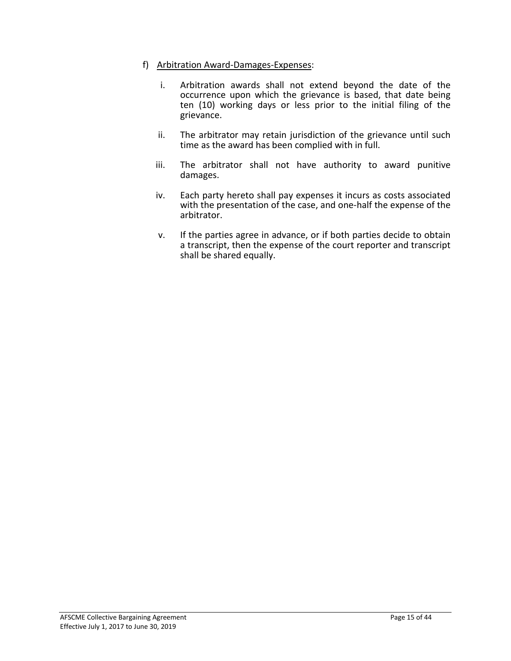#### f) Arbitration Award-Damages-Expenses:

- i. Arbitration awards shall not extend beyond the date of the occurrence upon which the grievance is based, that date being ten (10) working days or less prior to the initial filing of the grievance.
- ii. The arbitrator may retain jurisdiction of the grievance until such time as the award has been complied with in full.
- iii. The arbitrator shall not have authority to award punitive damages.
- iv. Each party hereto shall pay expenses it incurs as costs associated with the presentation of the case, and one-half the expense of the arbitrator.
- v. If the parties agree in advance, or if both parties decide to obtain a transcript, then the expense of the court reporter and transcript shall be shared equally.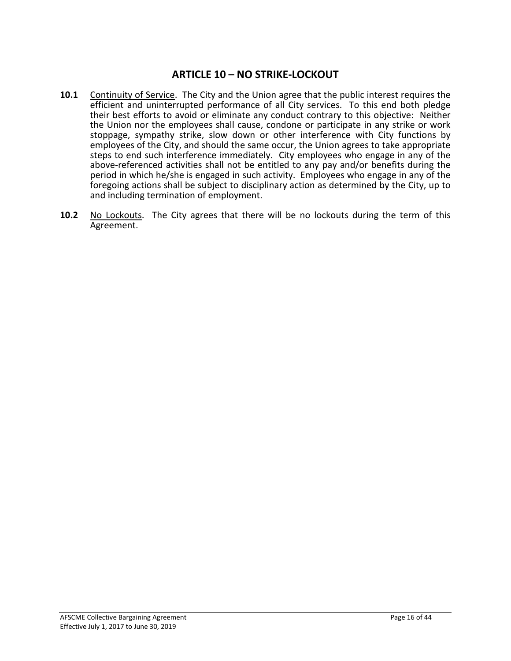### **ARTICLE 10 – NO STRIKE-LOCKOUT**

- **10.1** Continuity of Service. The City and the Union agree that the public interest requires the efficient and uninterrupted performance of all City services. To this end both pledge their best efforts to avoid or eliminate any conduct contrary to this objective: Neither the Union nor the employees shall cause, condone or participate in any strike or work stoppage, sympathy strike, slow down or other interference with City functions by employees of the City, and should the same occur, the Union agrees to take appropriate steps to end such interference immediately. City employees who engage in any of the above-referenced activities shall not be entitled to any pay and/or benefits during the period in which he/she is engaged in such activity. Employees who engage in any of the foregoing actions shall be subject to disciplinary action as determined by the City, up to and including termination of employment.
- **10.2** No Lockouts. The City agrees that there will be no lockouts during the term of this Agreement.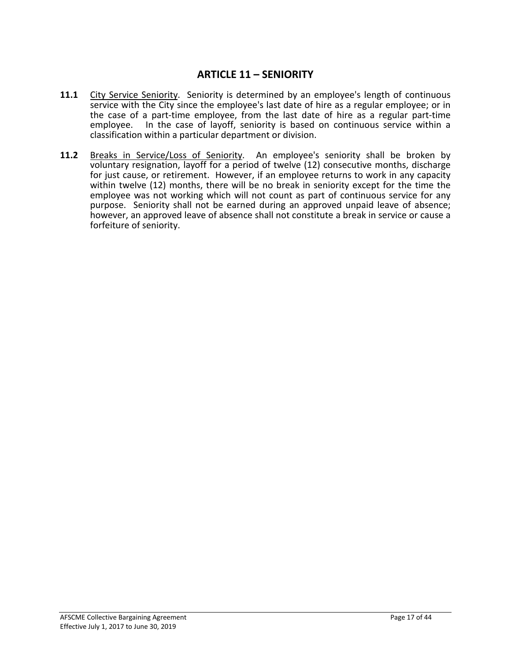### **ARTICLE 11 – SENIORITY**

- **11.1** City Service Seniority. Seniority is determined by an employee's length of continuous service with the City since the employee's last date of hire as a regular employee; or in the case of a part-time employee, from the last date of hire as a regular part-time employee. In the case of layoff, seniority is based on continuous service within a classification within a particular department or division.
- 11.2 Breaks in Service/Loss of Seniority. An employee's seniority shall be broken by voluntary resignation, layoff for a period of twelve (12) consecutive months, discharge for just cause, or retirement. However, if an employee returns to work in any capacity within twelve (12) months, there will be no break in seniority except for the time the employee was not working which will not count as part of continuous service for any purpose. Seniority shall not be earned during an approved unpaid leave of absence; however, an approved leave of absence shall not constitute a break in service or cause a forfeiture of seniority.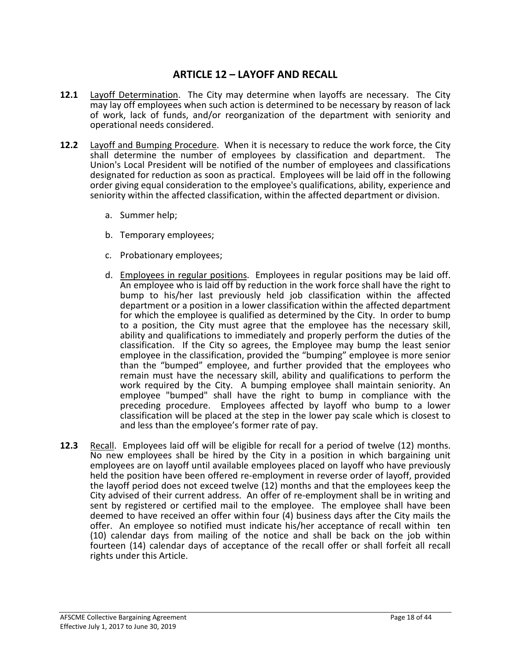### **ARTICLE 12 – LAYOFF AND RECALL**

- **12.1** Layoff Determination. The City may determine when layoffs are necessary. The City may lay off employees when such action is determined to be necessary by reason of lack of work, lack of funds, and/or reorganization of the department with seniority and operational needs considered.
- **12.2** Layoff and Bumping Procedure. When it is necessary to reduce the work force, the City shall determine the number of employees by classification and department. The Union's Local President will be notified of the number of employees and classifications designated for reduction as soon as practical. Employees will be laid off in the following order giving equal consideration to the employee's qualifications, ability, experience and seniority within the affected classification, within the affected department or division.
	- a. Summer help;
	- b. Temporary employees;
	- c. Probationary employees;
	- d. Employees in regular positions. Employees in regular positions may be laid off. An employee who is laid off by reduction in the work force shall have the right to bump to his/her last previously held job classification within the affected department or a position in a lower classification within the affected department for which the employee is qualified as determined by the City. In order to bump to a position, the City must agree that the employee has the necessary skill, ability and qualifications to immediately and properly perform the duties of the classification. If the City so agrees, the Employee may bump the least senior employee in the classification, provided the "bumping" employee is more senior than the "bumped" employee, and further provided that the employees who remain must have the necessary skill, ability and qualifications to perform the work required by the City. A bumping employee shall maintain seniority. An employee "bumped" shall have the right to bump in compliance with the preceding procedure. Employees affected by layoff who bump to a lower classification will be placed at the step in the lower pay scale which is closest to and less than the employee's former rate of pay.
- **12.3** Recall. Employees laid off will be eligible for recall for a period of twelve (12) months. No new employees shall be hired by the City in a position in which bargaining unit employees are on layoff until available employees placed on layoff who have previously held the position have been offered re-employment in reverse order of layoff, provided the layoff period does not exceed twelve (12) months and that the employees keep the City advised of their current address. An offer of re-employment shall be in writing and sent by registered or certified mail to the employee. The employee shall have been deemed to have received an offer within four (4) business days after the City mails the offer. An employee so notified must indicate his/her acceptance of recall within ten (10) calendar days from mailing of the notice and shall be back on the job within fourteen (14) calendar days of acceptance of the recall offer or shall forfeit all recall rights under this Article.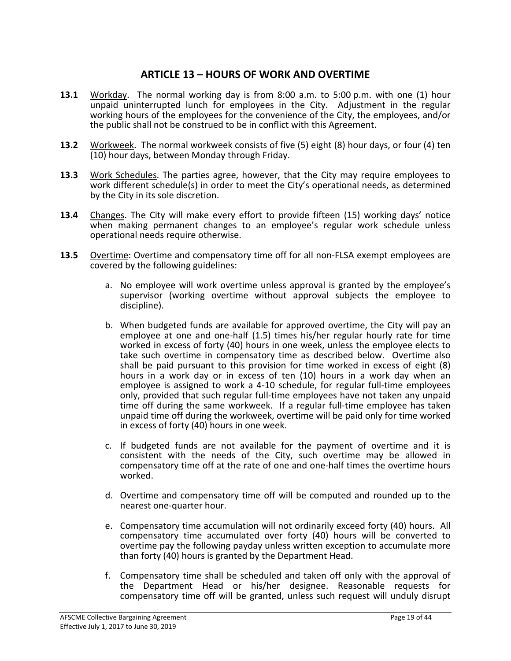### **ARTICLE 13 – HOURS OF WORK AND OVERTIME**

- **13.1** Workday. The normal working day is from 8:00 a.m. to 5:00 p.m. with one (1) hour unpaid uninterrupted lunch for employees in the City. Adjustment in the regular working hours of the employees for the convenience of the City, the employees, and/or the public shall not be construed to be in conflict with this Agreement.
- **13.2** Workweek. The normal workweek consists of five (5) eight (8) hour days, or four (4) ten (10) hour days, between Monday through Friday.
- **13.3** Work Schedules. The parties agree, however, that the City may require employees to work different schedule(s) in order to meet the City's operational needs, as determined by the City in its sole discretion.
- **13.4** Changes. The City will make every effort to provide fifteen (15) working days' notice when making permanent changes to an employee's regular work schedule unless operational needs require otherwise.
- **13.5** Overtime: Overtime and compensatory time off for all non-FLSA exempt employees are covered by the following guidelines:
	- a. No employee will work overtime unless approval is granted by the employee's supervisor (working overtime without approval subjects the employee to discipline).
	- b. When budgeted funds are available for approved overtime, the City will pay an employee at one and one-half (1.5) times his/her regular hourly rate for time worked in excess of forty (40) hours in one week, unless the employee elects to take such overtime in compensatory time as described below. Overtime also shall be paid pursuant to this provision for time worked in excess of eight (8) hours in a work day or in excess of ten (10) hours in a work day when an employee is assigned to work a 4-10 schedule, for regular full-time employees only, provided that such regular full-time employees have not taken any unpaid time off during the same workweek. If a regular full-time employee has taken unpaid time off during the workweek, overtime will be paid only for time worked in excess of forty (40) hours in one week.
	- c. If budgeted funds are not available for the payment of overtime and it is consistent with the needs of the City, such overtime may be allowed in compensatory time off at the rate of one and one-half times the overtime hours worked.
	- d. Overtime and compensatory time off will be computed and rounded up to the nearest one-quarter hour.
	- e. Compensatory time accumulation will not ordinarily exceed forty (40) hours. All compensatory time accumulated over forty (40) hours will be converted to overtime pay the following payday unless written exception to accumulate more than forty (40) hours is granted by the Department Head.
	- f. Compensatory time shall be scheduled and taken off only with the approval of the Department Head or his/her designee. Reasonable requests for compensatory time off will be granted, unless such request will unduly disrupt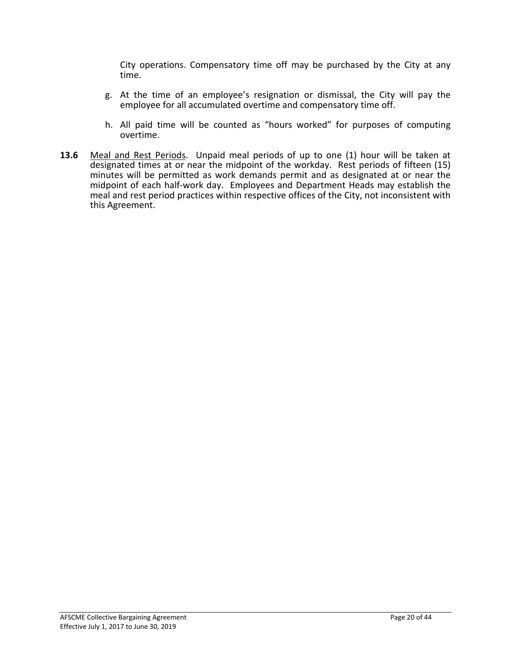City operations. Compensatory time off may be purchased by the City at any time.

- g. At the time of an employee's resignation or dismissal, the City will pay the employee for all accumulated overtime and compensatory time off.
- h. All paid time will be counted as "hours worked" for purposes of computing overtime.
- **13.6** Meal and Rest Periods. Unpaid meal periods of up to one (1) hour will be taken at designated times at or near the midpoint of the workday. Rest periods of fifteen (15) minutes will be permitted as work demands permit and as designated at or near the midpoint of each half-work day. Employees and Department Heads may establish the meal and rest period practices within respective offices of the City, not inconsistent with this Agreement.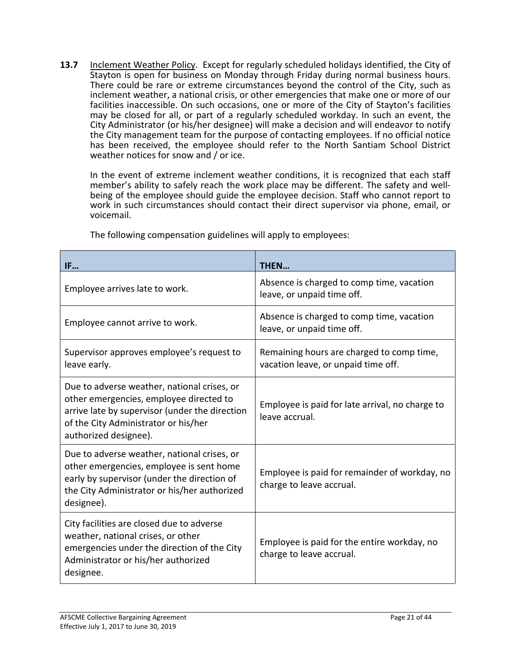**13.7** Inclement Weather Policy. Except for regularly scheduled holidays identified, the City of Stayton is open for business on Monday through Friday during normal business hours. There could be rare or extreme circumstances beyond the control of the City, such as inclement weather, a national crisis, or other emergencies that make one or more of our facilities inaccessible. On such occasions, one or more of the City of Stayton's facilities may be closed for all, or part of a regularly scheduled workday. In such an event, the City Administrator (or his/her designee) will make a decision and will endeavor to notify the City management team for the purpose of contacting employees. If no official notice has been received, the employee should refer to the North Santiam School District weather notices for snow and / or ice.

In the event of extreme inclement weather conditions, it is recognized that each staff member's ability to safely reach the work place may be different. The safety and wellbeing of the employee should guide the employee decision. Staff who cannot report to work in such circumstances should contact their direct supervisor via phone, email, or voicemail.

| IF                                                                                                                                                                                                        | THEN                                                                             |
|-----------------------------------------------------------------------------------------------------------------------------------------------------------------------------------------------------------|----------------------------------------------------------------------------------|
| Employee arrives late to work.                                                                                                                                                                            | Absence is charged to comp time, vacation<br>leave, or unpaid time off.          |
| Employee cannot arrive to work.                                                                                                                                                                           | Absence is charged to comp time, vacation<br>leave, or unpaid time off.          |
| Supervisor approves employee's request to<br>leave early.                                                                                                                                                 | Remaining hours are charged to comp time,<br>vacation leave, or unpaid time off. |
| Due to adverse weather, national crises, or<br>other emergencies, employee directed to<br>arrive late by supervisor (under the direction<br>of the City Administrator or his/her<br>authorized designee). | Employee is paid for late arrival, no charge to<br>leave accrual.                |
| Due to adverse weather, national crises, or<br>other emergencies, employee is sent home<br>early by supervisor (under the direction of<br>the City Administrator or his/her authorized<br>designee).      | Employee is paid for remainder of workday, no<br>charge to leave accrual.        |
| City facilities are closed due to adverse<br>weather, national crises, or other<br>emergencies under the direction of the City<br>Administrator or his/her authorized<br>designee.                        | Employee is paid for the entire workday, no<br>charge to leave accrual.          |

The following compensation guidelines will apply to employees: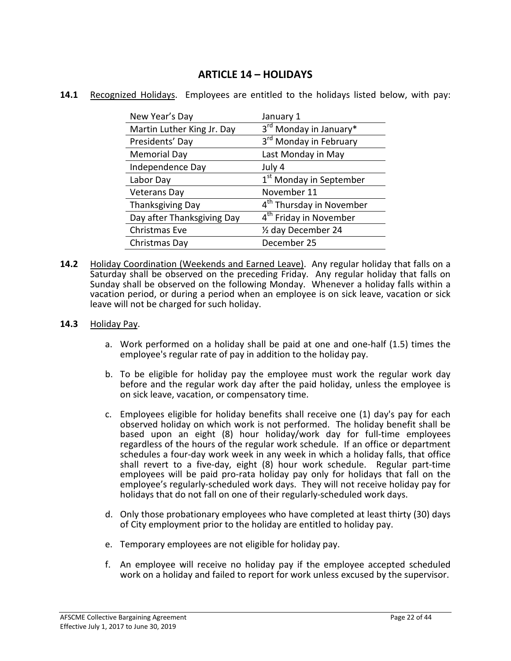### **ARTICLE 14 – HOLIDAYS**

| New Year's Day             | January 1                            |
|----------------------------|--------------------------------------|
| Martin Luther King Jr. Day | 3rd Monday in January*               |
| Presidents' Day            | 3 <sup>rd</sup> Monday in February   |
| <b>Memorial Day</b>        | Last Monday in May                   |
| Independence Day           | July 4                               |
| Labor Day                  | 1 <sup>st</sup> Monday in September  |
| <b>Veterans Day</b>        | November 11                          |
| <b>Thanksgiving Day</b>    | 4 <sup>th</sup> Thursday in November |
| Day after Thanksgiving Day | 4 <sup>th</sup> Friday in November   |
| Christmas Eve              | 1/2 day December 24                  |
| Christmas Day              | December 25                          |

#### **14.1** Recognized Holidays. Employees are entitled to the holidays listed below, with pay:

**14.2** Holiday Coordination (Weekends and Earned Leave). Any regular holiday that falls on a Saturday shall be observed on the preceding Friday. Any regular holiday that falls on Sunday shall be observed on the following Monday. Whenever a holiday falls within a vacation period, or during a period when an employee is on sick leave, vacation or sick leave will not be charged for such holiday.

#### **14.3** Holiday Pay.

- a. Work performed on a holiday shall be paid at one and one-half (1.5) times the employee's regular rate of pay in addition to the holiday pay.
- b. To be eligible for holiday pay the employee must work the regular work day before and the regular work day after the paid holiday, unless the employee is on sick leave, vacation, or compensatory time.
- c. Employees eligible for holiday benefits shall receive one (1) day's pay for each observed holiday on which work is not performed. The holiday benefit shall be based upon an eight (8) hour holiday/work day for full-time employees regardless of the hours of the regular work schedule. If an office or department schedules a four-day work week in any week in which a holiday falls, that office shall revert to a five-day, eight (8) hour work schedule. Regular part-time employees will be paid pro-rata holiday pay only for holidays that fall on the employee's regularly-scheduled work days. They will not receive holiday pay for holidays that do not fall on one of their regularly-scheduled work days.
- d. Only those probationary employees who have completed at least thirty (30) days of City employment prior to the holiday are entitled to holiday pay.
- e. Temporary employees are not eligible for holiday pay.
- f. An employee will receive no holiday pay if the employee accepted scheduled work on a holiday and failed to report for work unless excused by the supervisor.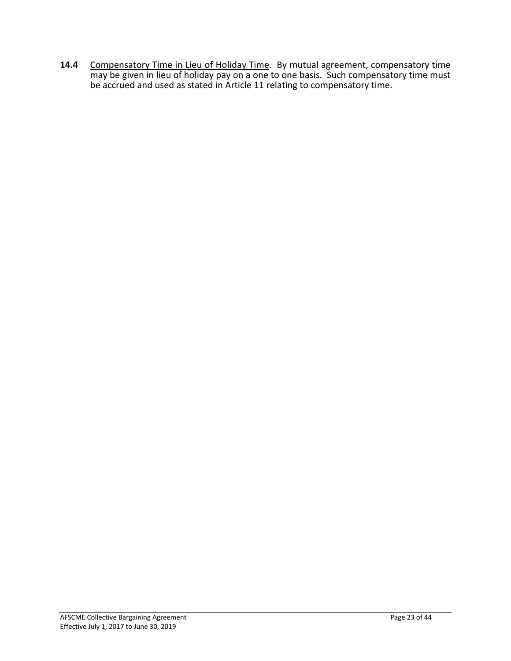14.4 Compensatory Time in Lieu of Holiday Time. By mutual agreement, compensatory time may be given in lieu of holiday pay on a one to one basis. Such compensatory time must be accrued and used as stated in Article 11 relating to compensatory time.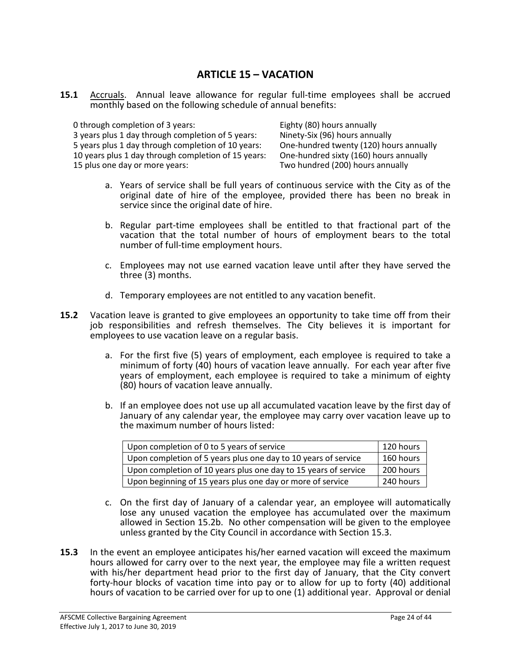### **ARTICLE 15 – VACATION**

**15.1** Accruals. Annual leave allowance for regular full-time employees shall be accrued monthly based on the following schedule of annual benefits:

| 0 through completion of 3 years:                    | Eighty (80) hours annually              |
|-----------------------------------------------------|-----------------------------------------|
| 3 years plus 1 day through completion of 5 years:   | Ninety-Six (96) hours annually          |
| 5 years plus 1 day through completion of 10 years:  | One-hundred twenty (120) hours annually |
| 10 years plus 1 day through completion of 15 years: | One-hundred sixty (160) hours annually  |
| 15 plus one day or more years:                      | Two hundred (200) hours annually        |
|                                                     |                                         |

- a. Years of service shall be full years of continuous service with the City as of the original date of hire of the employee, provided there has been no break in service since the original date of hire.
- b. Regular part-time employees shall be entitled to that fractional part of the vacation that the total number of hours of employment bears to the total number of full-time employment hours.
- c. Employees may not use earned vacation leave until after they have served the three (3) months.
- d. Temporary employees are not entitled to any vacation benefit.
- **15.2** Vacation leave is granted to give employees an opportunity to take time off from their job responsibilities and refresh themselves. The City believes it is important for employees to use vacation leave on a regular basis.
	- a. For the first five (5) years of employment, each employee is required to take a minimum of forty (40) hours of vacation leave annually. For each year after five years of employment, each employee is required to take a minimum of eighty (80) hours of vacation leave annually.
	- b. If an employee does not use up all accumulated vacation leave by the first day of January of any calendar year, the employee may carry over vacation leave up to the maximum number of hours listed:

| Upon completion of 0 to 5 years of service                      | 120 hours |
|-----------------------------------------------------------------|-----------|
| Upon completion of 5 years plus one day to 10 years of service  | 160 hours |
| Upon completion of 10 years plus one day to 15 years of service | 200 hours |
| Upon beginning of 15 years plus one day or more of service      | 240 hours |

- c. On the first day of January of a calendar year, an employee will automatically lose any unused vacation the employee has accumulated over the maximum allowed in Section 15.2b. No other compensation will be given to the employee unless granted by the City Council in accordance with Section 15.3.
- **15.3** In the event an employee anticipates his/her earned vacation will exceed the maximum hours allowed for carry over to the next year, the employee may file a written request with his/her department head prior to the first day of January, that the City convert forty-hour blocks of vacation time into pay or to allow for up to forty (40) additional hours of vacation to be carried over for up to one (1) additional year. Approval or denial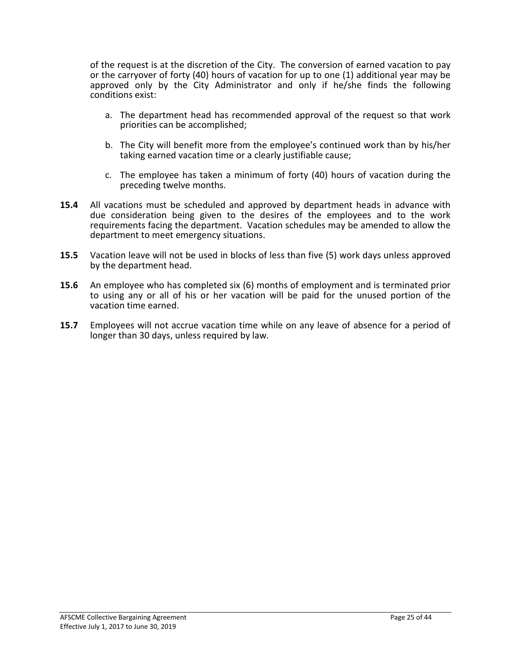of the request is at the discretion of the City. The conversion of earned vacation to pay or the carryover of forty (40) hours of vacation for up to one (1) additional year may be approved only by the City Administrator and only if he/she finds the following conditions exist:

- a. The department head has recommended approval of the request so that work priorities can be accomplished;
- b. The City will benefit more from the employee's continued work than by his/her taking earned vacation time or a clearly justifiable cause;
- c. The employee has taken a minimum of forty (40) hours of vacation during the preceding twelve months.
- **15.4** All vacations must be scheduled and approved by department heads in advance with due consideration being given to the desires of the employees and to the work requirements facing the department. Vacation schedules may be amended to allow the department to meet emergency situations.
- **15.5** Vacation leave will not be used in blocks of less than five (5) work days unless approved by the department head.
- **15.6** An employee who has completed six (6) months of employment and is terminated prior to using any or all of his or her vacation will be paid for the unused portion of the vacation time earned.
- **15.7** Employees will not accrue vacation time while on any leave of absence for a period of longer than 30 days, unless required by law.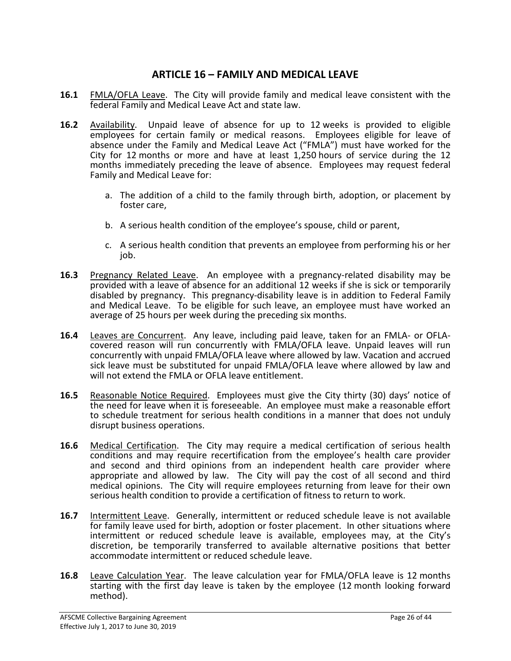### **ARTICLE 16 – FAMILY AND MEDICAL LEAVE**

- **16.1** FMLA/OFLA Leave. The City will provide family and medical leave consistent with the federal Family and Medical Leave Act and state law.
- **16.2** Availability. Unpaid leave of absence for up to 12 weeks is provided to eligible employees for certain family or medical reasons. Employees eligible for leave of absence under the Family and Medical Leave Act ("FMLA") must have worked for the City for 12 months or more and have at least 1,250 hours of service during the 12 months immediately preceding the leave of absence. Employees may request federal Family and Medical Leave for:
	- a. The addition of a child to the family through birth, adoption, or placement by foster care,
	- b. A serious health condition of the employee's spouse, child or parent,
	- c. A serious health condition that prevents an employee from performing his or her job.
- **16.3** Pregnancy Related Leave. An employee with a pregnancy-related disability may be provided with a leave of absence for an additional 12 weeks if she is sick or temporarily disabled by pregnancy. This pregnancy-disability leave is in addition to Federal Family and Medical Leave. To be eligible for such leave, an employee must have worked an average of 25 hours per week during the preceding six months.
- **16.4** Leaves are Concurrent. Any leave, including paid leave, taken for an FMLA- or OFLA-<br>covered reason will run concurrently with FMLA/OFLA leave. Unpaid leaves will run concurrently with unpaid FMLA/OFLA leave where allowed by law. Vacation and accrued sick leave must be substituted for unpaid FMLA/OFLA leave where allowed by law and will not extend the FMLA or OFLA leave entitlement.
- **16.5** Reasonable Notice Required. Employees must give the City thirty (30) days' notice of the need for leave when it is foreseeable. An employee must make a reasonable effort to schedule treatment for serious health conditions in a manner that does not unduly disrupt business operations.
- **16.6** Medical Certification. The City may require a medical certification of serious health conditions and may require recertification from the employee's health care provider and second and third opinions from an independent health care provider where appropriate and allowed by law. The City will pay the cost of all second and third medical opinions. The City will require employees returning from leave for their own serious health condition to provide a certification of fitness to return to work.
- 16.7 Intermittent Leave. Generally, intermittent or reduced schedule leave is not available for family leave used for birth, adoption or foster placement. In other situations where intermittent or reduced schedule leave is available, employees may, at the City's discretion, be temporarily transferred to available alternative positions that better accommodate intermittent or reduced schedule leave.
- **16.8** Leave Calculation Year. The leave calculation year for FMLA/OFLA leave is 12 months starting with the first day leave is taken by the employee (12 month looking forward method).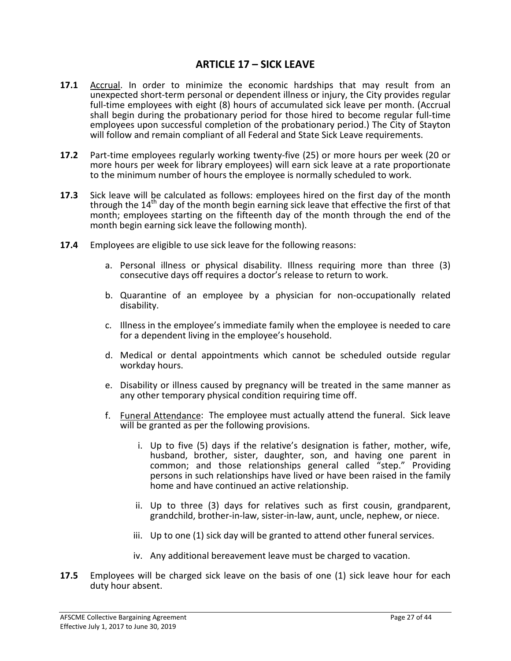### **ARTICLE 17 – SICK LEAVE**

- **17.1** Accrual. In order to minimize the economic hardships that may result from an unexpected short-term personal or dependent illness or injury, the City provides regular full-time employees with eight (8) hours of accumulated sick leave per month. (Accrual shall begin during the probationary period for those hired to become regular full-time employees upon successful completion of the probationary period.) The City of Stayton will follow and remain compliant of all Federal and State Sick Leave requirements.
- **17.2** Part-time employees regularly working twenty-five (25) or more hours per week (20 or more hours per week for library employees) will earn sick leave at a rate proportionate to the minimum number of hours the employee is normally scheduled to work.
- **17.3** Sick leave will be calculated as follows: employees hired on the first day of the month through the  $14<sup>th</sup>$  day of the month begin earning sick leave that effective the first of that month; employees starting on the fifteenth day of the month through the end of the month begin earning sick leave the following month).
- **17.4** Employees are eligible to use sick leave for the following reasons:
	- a. Personal illness or physical disability. Illness requiring more than three (3) consecutive days off requires a doctor's release to return to work.
	- b. Quarantine of an employee by a physician for non-occupationally related disability.
	- c. Illness in the employee's immediate family when the employee is needed to care for a dependent living in the employee's household.
	- d. Medical or dental appointments which cannot be scheduled outside regular workday hours.
	- e. Disability or illness caused by pregnancy will be treated in the same manner as any other temporary physical condition requiring time off.
	- f. Funeral Attendance: The employee must actually attend the funeral. Sick leave will be granted as per the following provisions.
		- i. Up to five (5) days if the relative's designation is father, mother, wife, husband, brother, sister, daughter, son, and having one parent in common; and those relationships general called "step." Providing persons in such relationships have lived or have been raised in the family home and have continued an active relationship.
		- ii. Up to three (3) days for relatives such as first cousin, grandparent, grandchild, brother-in-law, sister-in-law, aunt, uncle, nephew, or niece.
		- iii. Up to one (1) sick day will be granted to attend other funeral services.
		- iv. Any additional bereavement leave must be charged to vacation.
- **17.5** Employees will be charged sick leave on the basis of one (1) sick leave hour for each duty hour absent.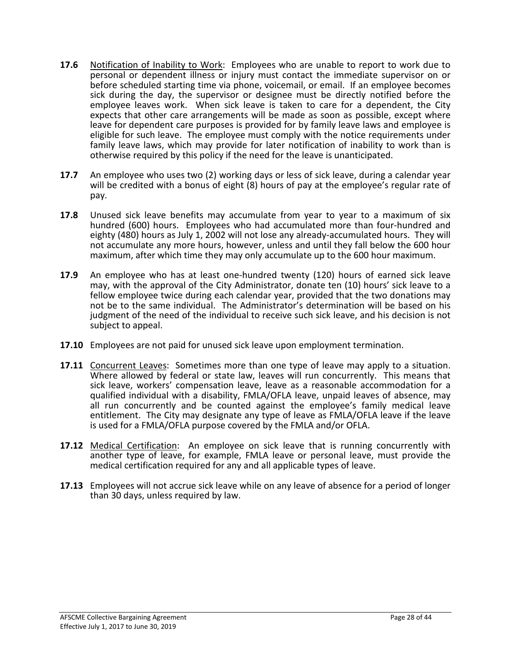- **17.6** Notification of Inability to Work: Employees who are unable to report to work due to personal or dependent illness or injury must contact the immediate supervisor on or before scheduled starting time via phone, voicemail, or email. If an employee becomes sick during the day, the supervisor or designee must be directly notified before the employee leaves work. When sick leave is taken to care for a dependent, the City expects that other care arrangements will be made as soon as possible, except where leave for dependent care purposes is provided for by family leave laws and employee is eligible for such leave. The employee must comply with the notice requirements under family leave laws, which may provide for later notification of inability to work than is otherwise required by this policy if the need for the leave is unanticipated.
- **17.7** An employee who uses two (2) working days or less of sick leave, during a calendar year will be credited with a bonus of eight (8) hours of pay at the employee's regular rate of pay.
- **17.8** Unused sick leave benefits may accumulate from year to year to a maximum of six hundred (600) hours. Employees who had accumulated more than four-hundred and eighty (480) hours as July 1, 2002 will not lose any already-accumulated hours. They will not accumulate any more hours, however, unless and until they fall below the 600 hour maximum, after which time they may only accumulate up to the 600 hour maximum.
- **17.9** An employee who has at least one-hundred twenty (120) hours of earned sick leave may, with the approval of the City Administrator, donate ten (10) hours' sick leave to a fellow employee twice during each calendar year, provided that the two donations may not be to the same individual. The Administrator's determination will be based on his judgment of the need of the individual to receive such sick leave, and his decision is not subject to appeal.
- **17.10** Employees are not paid for unused sick leave upon employment termination.
- **17.11** Concurrent Leaves: Sometimes more than one type of leave may apply to a situation. Where allowed by federal or state law, leaves will run concurrently. This means that sick leave, workers' compensation leave, leave as a reasonable accommodation for a qualified individual with a disability, FMLA/OFLA leave, unpaid leaves of absence, may all run concurrently and be counted against the employee's family medical leave entitlement. The City may designate any type of leave as FMLA/OFLA leave if the leave is used for a FMLA/OFLA purpose covered by the FMLA and/or OFLA.
- 17.12 Medical Certification: An employee on sick leave that is running concurrently with another type of leave, for example, FMLA leave or personal leave, must provide the medical certification required for any and all applicable types of leave.
- **17.13** Employees will not accrue sick leave while on any leave of absence for a period of longer than 30 days, unless required by law.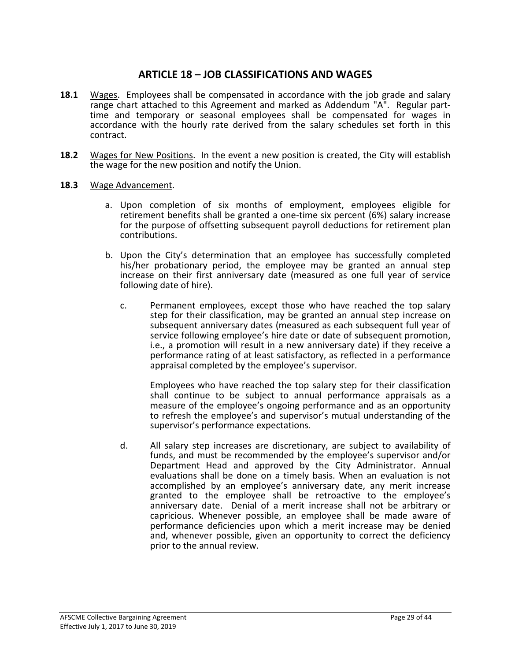### **ARTICLE 18 – JOB CLASSIFICATIONS AND WAGES**

- **18.1** Wages. Employees shall be compensated in accordance with the job grade and salary range chart attached to this Agreement and marked as Addendum "A". Regular parttime and temporary or seasonal employees shall be compensated for wages in accordance with the hourly rate derived from the salary schedules set forth in this contract.
- **18.2** Wages for New Positions. In the event a new position is created, the City will establish the wage for the new position and notify the Union.
- **18.3** Wage Advancement.
	- a. Upon completion of six months of employment, employees eligible for retirement benefits shall be granted a one-time six percent (6%) salary increase for the purpose of offsetting subsequent payroll deductions for retirement plan contributions.
	- b. Upon the City's determination that an employee has successfully completed his/her probationary period, the employee may be granted an annual step increase on their first anniversary date (measured as one full year of service following date of hire).
		- c. Permanent employees, except those who have reached the top salary step for their classification, may be granted an annual step increase on subsequent anniversary dates (measured as each subsequent full year of service following employee's hire date or date of subsequent promotion, i.e., a promotion will result in a new anniversary date) if they receive a performance rating of at least satisfactory, as reflected in a performance appraisal completed by the employee's supervisor.

Employees who have reached the top salary step for their classification shall continue to be subject to annual performance appraisals as a measure of the employee's ongoing performance and as an opportunity to refresh the employee's and supervisor's mutual understanding of the supervisor's performance expectations.

d. All salary step increases are discretionary, are subject to availability of funds, and must be recommended by the employee's supervisor and/or Department Head and approved by the City Administrator. Annual evaluations shall be done on a timely basis. When an evaluation is not accomplished by an employee's anniversary date, any merit increase granted to the employee shall be retroactive to the employee's anniversary date. Denial of a merit increase shall not be arbitrary or capricious. Whenever possible, an employee shall be made aware of performance deficiencies upon which a merit increase may be denied and, whenever possible, given an opportunity to correct the deficiency prior to the annual review.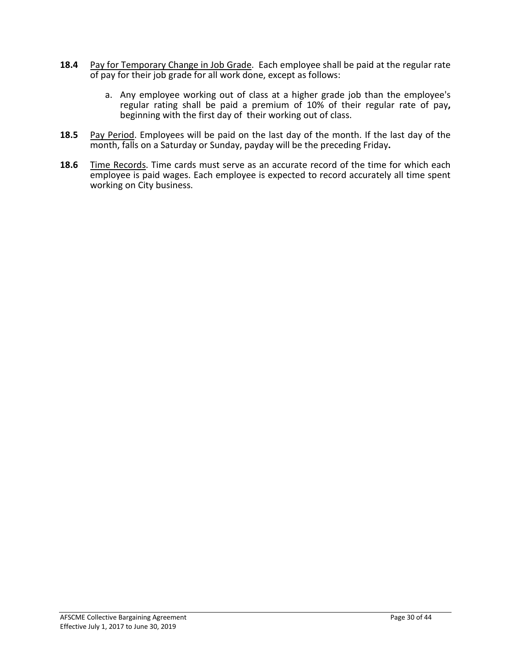- **18.4** Pay for Temporary Change in Job Grade. Each employee shall be paid at the regular rate of pay for their job grade for all work done, except as follows:
	- a. Any employee working out of class at a higher grade job than the employee's regular rating shall be paid a premium of 10% of their regular rate of pay**,** beginning with the first day of their working out of class.
- **18.5** Pay Period. Employees will be paid on the last day of the month. If the last day of the month, falls on a Saturday or Sunday, payday will be the preceding Friday**.**
- 18.6 Time Records. Time cards must serve as an accurate record of the time for which each employee is paid wages. Each employee is expected to record accurately all time spent working on City business.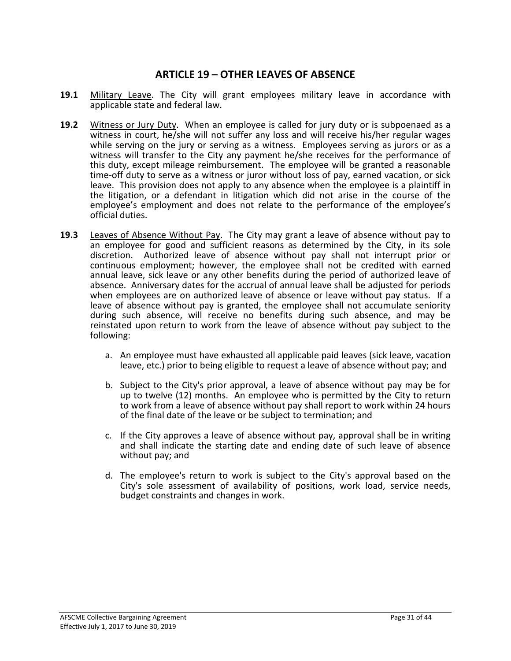### **ARTICLE 19 – OTHER LEAVES OF ABSENCE**

- **19.1** Military Leave. The City will grant employees military leave in accordance with applicable state and federal law.
- **19.2** Witness or Jury Duty. When an employee is called for jury duty or is subpoenaed as a witness in court, he/she will not suffer any loss and will receive his/her regular wages while serving on the jury or serving as a witness. Employees serving as jurors or as a witness will transfer to the City any payment he/she receives for the performance of this duty, except mileage reimbursement. The employee will be granted a reasonable time-off duty to serve as a witness or juror without loss of pay, earned vacation, or sick leave. This provision does not apply to any absence when the employee is a plaintiff in the litigation, or a defendant in litigation which did not arise in the course of the employee's employment and does not relate to the performance of the employee's official duties.
- **19.3** Leaves of Absence Without Pay. The City may grant a leave of absence without pay to an employee for good and sufficient reasons as determined by the City, in its sole discretion. Authorized leave of absence without pay shall not interrupt prior or continuous employment; however, the employee shall not be credited with earned annual leave, sick leave or any other benefits during the period of authorized leave of absence. Anniversary dates for the accrual of annual leave shall be adjusted for periods when employees are on authorized leave of absence or leave without pay status. If a leave of absence without pay is granted, the employee shall not accumulate seniority during such absence, will receive no benefits during such absence, and may be reinstated upon return to work from the leave of absence without pay subject to the following:
	- a. An employee must have exhausted all applicable paid leaves (sick leave, vacation leave, etc.) prior to being eligible to request a leave of absence without pay; and
	- b. Subject to the City's prior approval, a leave of absence without pay may be for up to twelve (12) months. An employee who is permitted by the City to return to work from a leave of absence without pay shall report to work within 24 hours of the final date of the leave or be subject to termination; and
	- c. If the City approves a leave of absence without pay, approval shall be in writing and shall indicate the starting date and ending date of such leave of absence without pay; and
	- d. The employee's return to work is subject to the City's approval based on the City's sole assessment of availability of positions, work load, service needs, budget constraints and changes in work.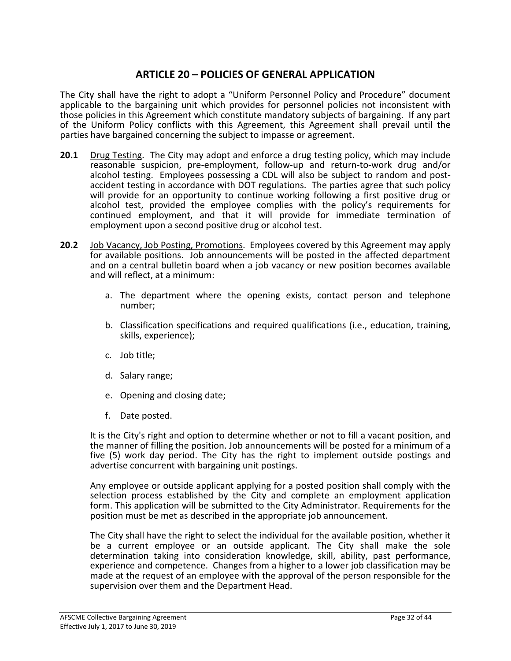### **ARTICLE 20 – POLICIES OF GENERAL APPLICATION**

The City shall have the right to adopt a "Uniform Personnel Policy and Procedure" document applicable to the bargaining unit which provides for personnel policies not inconsistent with those policies in this Agreement which constitute mandatory subjects of bargaining. If any part of the Uniform Policy conflicts with this Agreement, this Agreement shall prevail until the parties have bargained concerning the subject to impasse or agreement.

- **20.1** Drug Testing. The City may adopt and enforce a drug testing policy, which may include reasonable suspicion, pre-employment, follow-up and return-to-work drug and/or<br>alcohol testing. Employees possessing a CDL will also be subject to random and postaccident testing in accordance with DOT regulations. The parties agree that such policy will provide for an opportunity to continue working following a first positive drug or alcohol test, provided the employee complies with the policy's requirements for continued employment, and that it will provide for immediate termination of employment upon a second positive drug or alcohol test.
- **20.2** Job Vacancy, Job Posting, Promotions. Employees covered by this Agreement may apply for available positions. Job announcements will be posted in the affected department and on a central bulletin board when a job vacancy or new position becomes available and will reflect, at a minimum:
	- a. The department where the opening exists, contact person and telephone number;
	- b. Classification specifications and required qualifications (i.e., education, training, skills, experience);
	- c. Job title;
	- d. Salary range;
	- e. Opening and closing date;
	- f. Date posted.

It is the City's right and option to determine whether or not to fill a vacant position, and the manner of filling the position. Job announcements will be posted for a minimum of a five (5) work day period. The City has the right to implement outside postings and advertise concurrent with bargaining unit postings.

Any employee or outside applicant applying for a posted position shall comply with the selection process established by the City and complete an employment application form. This application will be submitted to the City Administrator. Requirements for the position must be met as described in the appropriate job announcement.

The City shall have the right to select the individual for the available position, whether it be a current employee or an outside applicant. The City shall make the sole determination taking into consideration knowledge, skill, ability, past performance, experience and competence. Changes from a higher to a lower job classification may be made at the request of an employee with the approval of the person responsible for the supervision over them and the Department Head.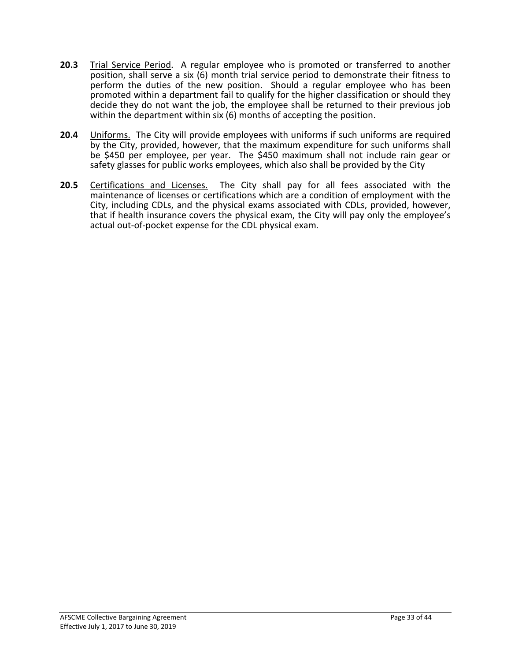- **20.3** Trial Service Period. A regular employee who is promoted or transferred to another position, shall serve a six (6) month trial service period to demonstrate their fitness to perform the duties of the new position. Should a regular employee who has been promoted within a department fail to qualify for the higher classification or should they decide they do not want the job, the employee shall be returned to their previous job within the department within six (6) months of accepting the position.
- **20.4** Uniforms. The City will provide employees with uniforms if such uniforms are required by the City, provided, however, that the maximum expenditure for such uniforms shall be \$450 per employee, per year. The \$450 maximum shall not include rain gear or safety glasses for public works employees, which also shall be provided by the City
- **20.5** Certifications and Licenses. The City shall pay for all fees associated with the maintenance of licenses or certifications which are a condition of employment with the City, including CDLs, and the physical exams associated with CDLs, provided, however, that if health insurance covers the physical exam, the City will pay only the employee's actual out-of-pocket expense for the CDL physical exam.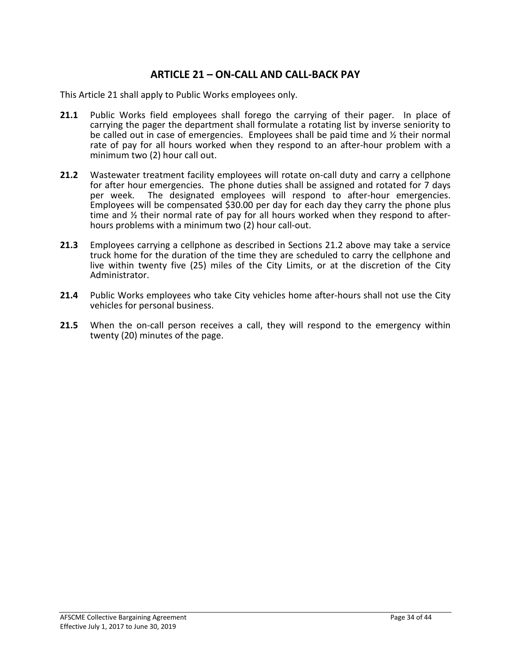### **ARTICLE 21 – ON-CALL AND CALL-BACK PAY**

This Article 21 shall apply to Public Works employees only.

- **21.1** Public Works field employees shall forego the carrying of their pager. In place of carrying the pager the department shall formulate a rotating list by inverse seniority to be called out in case of emergencies. Employees shall be paid time and ½ their normal rate of pay for all hours worked when they respond to an after-hour problem with a minimum two (2) hour call out.
- **21.2** Wastewater treatment facility employees will rotate on-call duty and carry a cellphone for after hour emergencies. The phone duties shall be assigned and rotated for 7 days per week. The designated employees will respond to after-hour emergencies. Employees will be compensated \$30.00 per day for each day they carry the phone plus time and ½ their normal rate of pay for all hours worked when they respond to after- hours problems with a minimum two (2) hour call-out.
- **21.3** Employees carrying a cellphone as described in Sections 21.2 above may take a service truck home for the duration of the time they are scheduled to carry the cellphone and live within twenty five (25) miles of the City Limits, or at the discretion of the City Administrator.
- **21.4** Public Works employees who take City vehicles home after-hours shall not use the City vehicles for personal business.
- **21.5** When the on-call person receives a call, they will respond to the emergency within twenty (20) minutes of the page.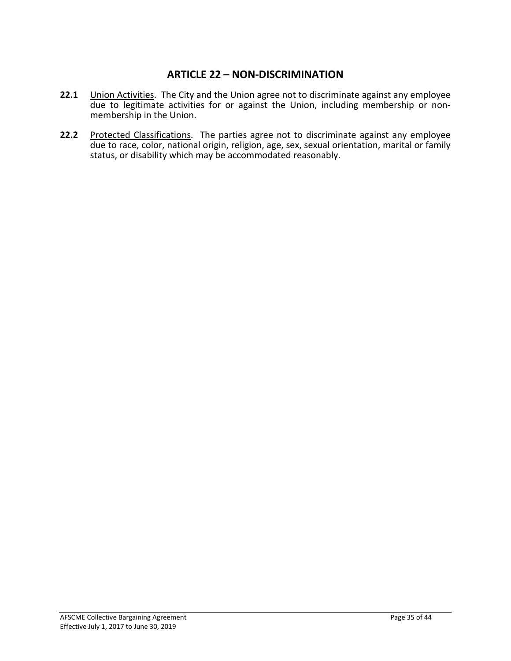### **ARTICLE 22 – NON-DISCRIMINATION**

- **22.1** Union Activities. The City and the Union agree not to discriminate against any employee due to legitimate activities for or against the Union, including membership or non-<br>membership in the Union.
- 22.2 Protected Classifications. The parties agree not to discriminate against any employee due to race, color, national origin, religion, age, sex, sexual orientation, marital or family status, or disability which may be accommodated reasonably.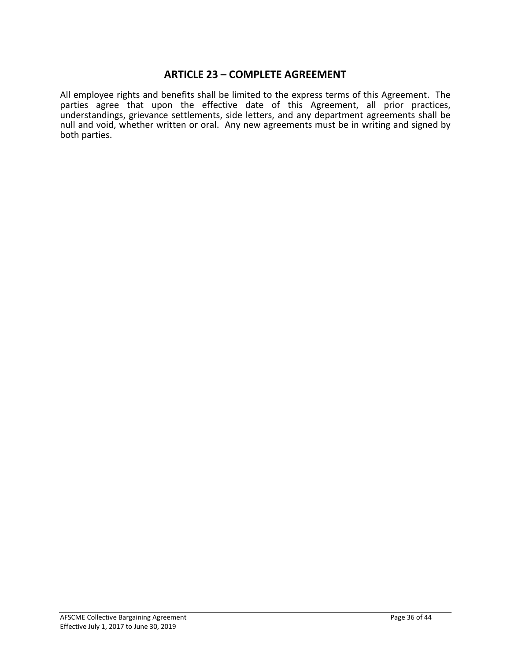### **ARTICLE 23 – COMPLETE AGREEMENT**

All employee rights and benefits shall be limited to the express terms of this Agreement. The parties agree that upon the effective date of this Agreement, all prior practices, understandings, grievance settlements, side letters, and any department agreements shall be null and void, whether written or oral. Any new agreements must be in writing and signed by both parties.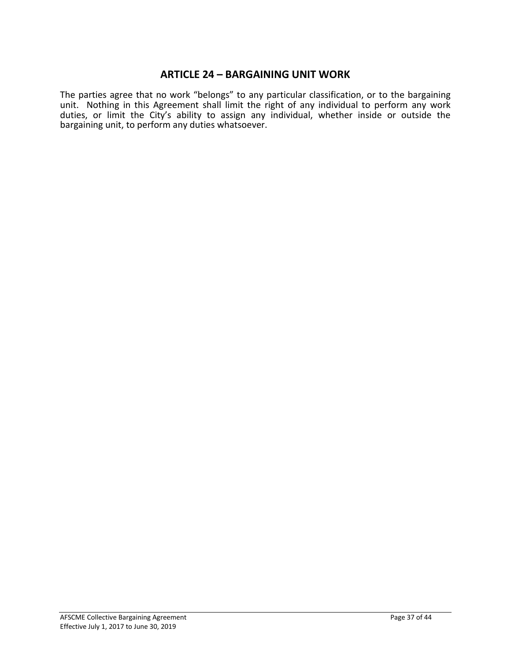### **ARTICLE 24 – BARGAINING UNIT WORK**

The parties agree that no work "belongs" to any particular classification, or to the bargaining unit. Nothing in this Agreement shall limit the right of any individual to perform any work duties, or limit the City's ability to assign any individual, whether inside or outside the bargaining unit, to perform any duties whatsoever.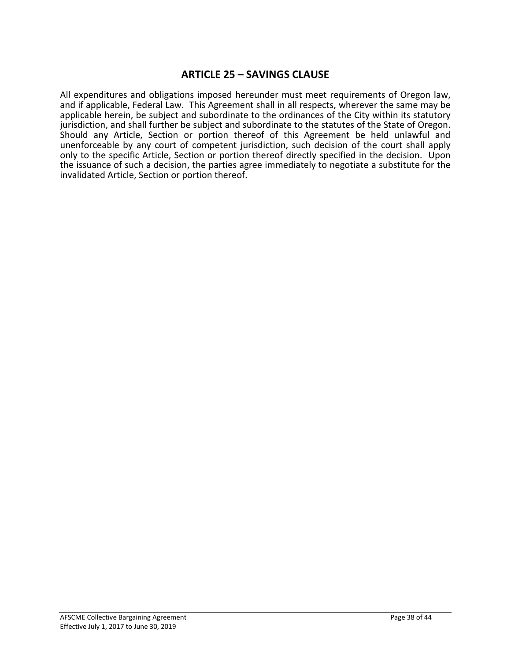### **ARTICLE 25 – SAVINGS CLAUSE**

All expenditures and obligations imposed hereunder must meet requirements of Oregon law, and if applicable, Federal Law. This Agreement shall in all respects, wherever the same may be applicable herein, be subject and subordinate to the ordinances of the City within its statutory jurisdiction, and shall further be subject and subordinate to the statutes of the State of Oregon. Should any Article, Section or portion thereof of this Agreement be held unlawful and unenforceable by any court of competent jurisdiction, such decision of the court shall apply only to the specific Article, Section or portion thereof directly specified in the decision. Upon the issuance of such a decision, the parties agree immediately to negotiate a substitute for the invalidated Article, Section or portion thereof.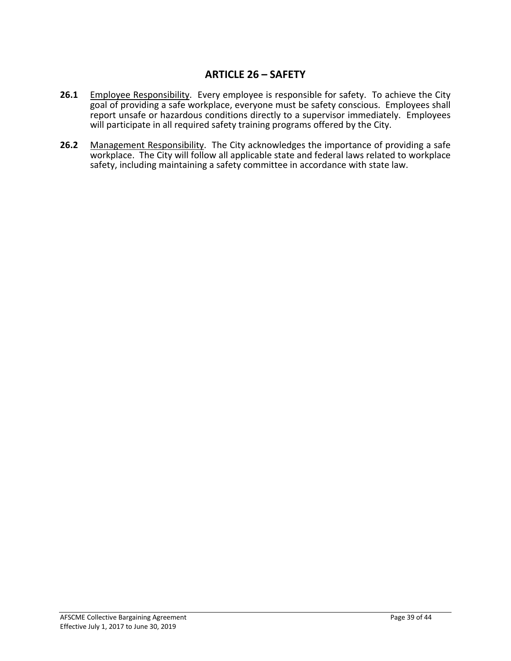### **ARTICLE 26 – SAFETY**

- 26.1 Employee Responsibility. Every employee is responsible for safety. To achieve the City goal of providing a safe workplace, everyone must be safety conscious. Employees shall report unsafe or hazardous conditions directly to a supervisor immediately. Employees will participate in all required safety training programs offered by the City.
- **26.2** Management Responsibility. The City acknowledges the importance of providing a safe workplace. The City will follow all applicable state and federal laws related to workplace safety, including maintaining a safety committee in accordance with state law.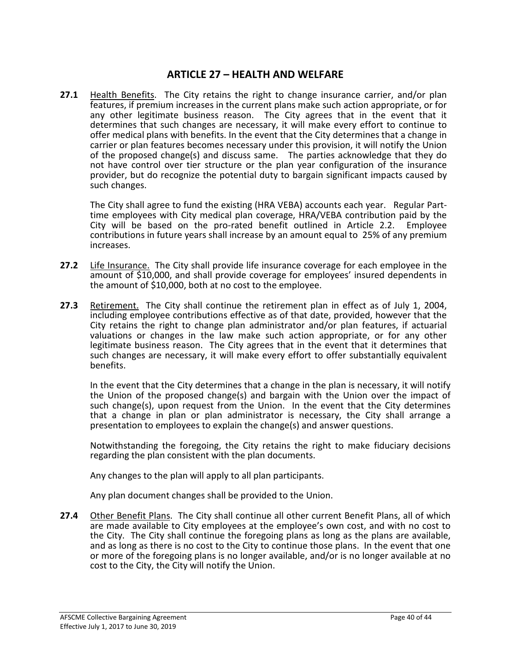### **ARTICLE 27 – HEALTH AND WELFARE**

**27.1** Health Benefits. The City retains the right to change insurance carrier, and/or plan features, if premium increases in the current plans make such action appropriate, or for any other legitimate business reason. The City agrees that in the event that it determines that such changes are necessary, it will make every effort to continue to offer medical plans with benefits. In the event that the City determines that a change in carrier or plan features becomes necessary under this provision, it will notify the Union of the proposed change(s) and discuss same. The parties acknowledge that they do not have control over tier structure or the plan year configuration of the insurance provider, but do recognize the potential duty to bargain significant impacts caused by such changes.

The City shall agree to fund the existing (HRA VEBA) accounts each year. Regular Part- time employees with City medical plan coverage, HRA/VEBA contribution paid by the City will be based on the pro-rated benefit outlined in Article 2.2. Employee contributions in future years shall increase by an amount equal to 25% of any premium increases.

- **27.2** Life Insurance. The City shall provide life insurance coverage for each employee in the amount of \$10,000, and shall provide coverage for employees' insured dependents in the amount of \$10,000, both at no cost to the employee.
- **27.3** Retirement. The City shall continue the retirement plan in effect as of July 1, 2004, including employee contributions effective as of that date, provided, however that the City retains the right to change plan administrator and/or plan features, if actuarial valuations or changes in the law make such action appropriate, or for any other legitimate business reason. The City agrees that in the event that it determines that such changes are necessary, it will make every effort to offer substantially equivalent benefits.

In the event that the City determines that a change in the plan is necessary, it will notify the Union of the proposed change(s) and bargain with the Union over the impact of such change(s), upon request from the Union. In the event that the City determines that a change in plan or plan administrator is necessary, the City shall arrange a presentation to employees to explain the change(s) and answer questions.

Notwithstanding the foregoing, the City retains the right to make fiduciary decisions regarding the plan consistent with the plan documents.

Any changes to the plan will apply to all plan participants.

Any plan document changes shall be provided to the Union.

27.4 Other Benefit Plans. The City shall continue all other current Benefit Plans, all of which are made available to City employees at the employee's own cost, and with no cost to the City. The City shall continue the foregoing plans as long as the plans are available, and as long as there is no cost to the City to continue those plans. In the event that one or more of the foregoing plans is no longer available, and/or is no longer available at no cost to the City, the City will notify the Union.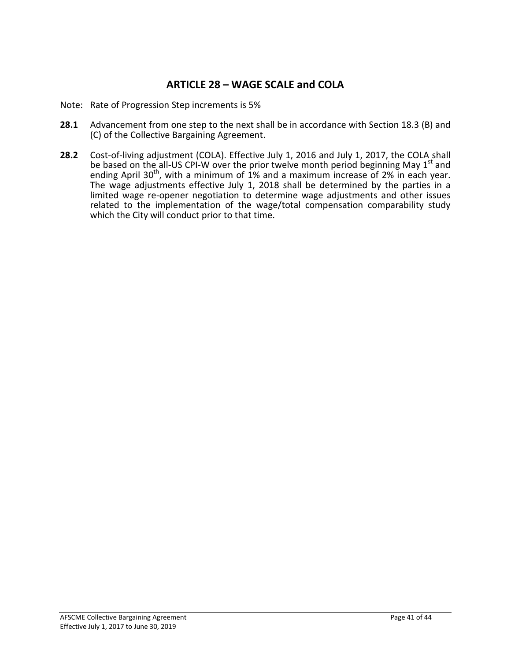### **ARTICLE 28 – WAGE SCALE and COLA**

- Note: Rate of Progression Step increments is 5%
- **28.1** Advancement from one step to the next shall be in accordance with Section 18.3 (B) and (C) of the Collective Bargaining Agreement.
- **28.2** Cost-of-living adjustment (COLA). Effective July 1, 2016 and July 1, 2017, the COLA shall be based on the all-US CPI-W over the prior twelve month period beginning May  $1<sup>st</sup>$  and ending April 30<sup>th</sup>, with a minimum of 1% and a maximum increase of 2% in each year. The wage adjustments effective July 1, 2018 shall be determined by the parties in a limited wage re-opener negotiation to determine wage adjustments and other issues related to the implementation of the wage/total compensation comparability study which the City will conduct prior to that time.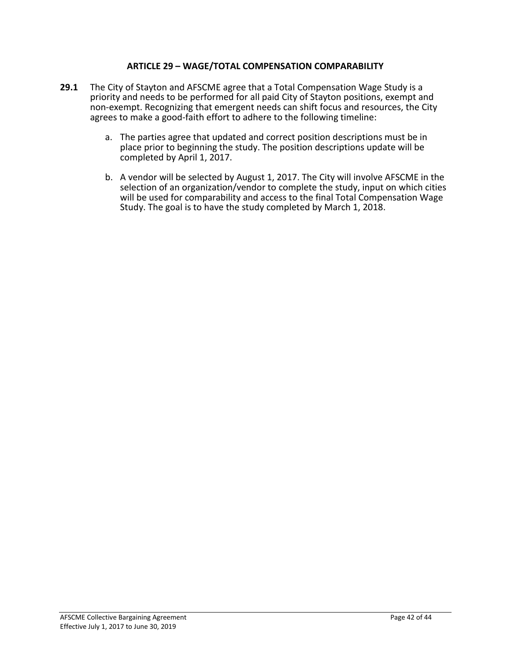### **ARTICLE 29 – WAGE/TOTAL COMPENSATION COMPARABILITY**

- **29.1** The City of Stayton and AFSCME agree that a Total Compensation Wage Study is a priority and needs to be performed for all paid City of Stayton positions, exempt and non-exempt. Recognizing that emergent needs can shift focus and resources, the City agrees to make a good-faith effort to adhere to the following timeline:
	- a. The parties agree that updated and correct position descriptions must be in place prior to beginning the study. The position descriptions update will be completed by April 1, 2017.
	- b. A vendor will be selected by August 1, 2017. The City will involve AFSCME in the selection of an organization/vendor to complete the study, input on which cities will be used for comparability and access to the final Total Compensation Wage Study. The goal is to have the study completed by March 1, 2018.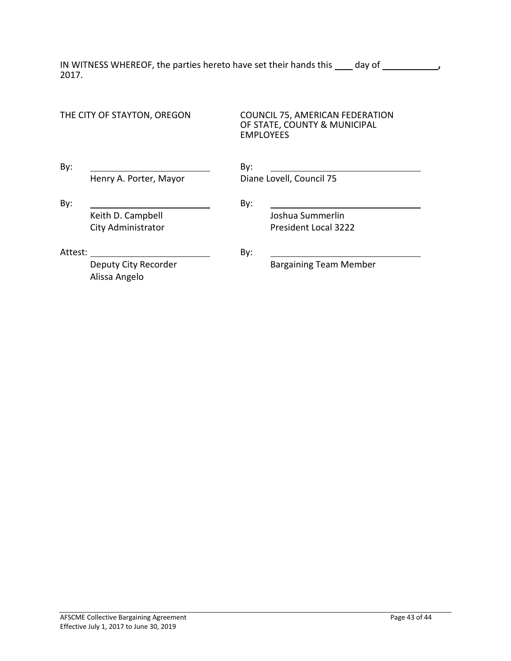IN WITNESS WHEREOF, the parties hereto have set their hands this **quart cast can be set their** 2017.

| THE CITY OF STAYTON, OREGON |                                         | <b>COUNCIL 75, AMERICAN FEDERATION</b><br>OF STATE, COUNTY & MUNICIPAL<br><b>EMPLOYEES</b> |  |  |  |
|-----------------------------|-----------------------------------------|--------------------------------------------------------------------------------------------|--|--|--|
| By:                         | Henry A. Porter, Mayor                  | By:<br>Diane Lovell, Council 75                                                            |  |  |  |
| By:                         | Keith D. Campbell<br>City Administrator | By:<br>Joshua Summerlin<br><b>President Local 3222</b>                                     |  |  |  |
| Attest:                     | Deputy City Recorder<br>Alissa Angelo   | By:<br><b>Bargaining Team Member</b>                                                       |  |  |  |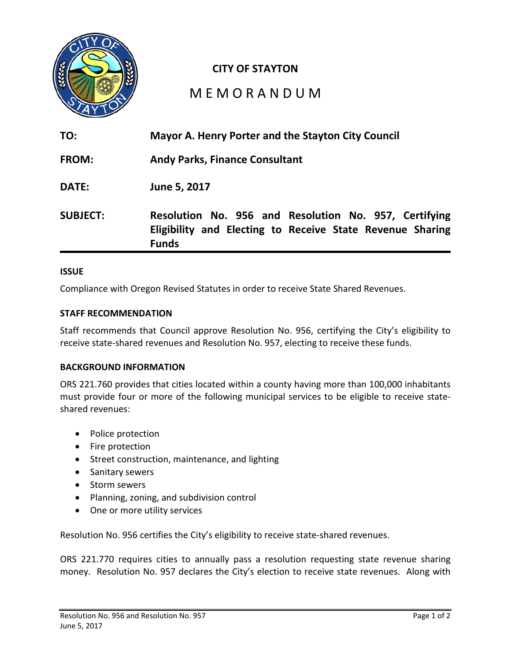

### **CITY OF STAYTON**

# M E M O R A N D U M

| TO:             | Mayor A. Henry Porter and the Stayton City Council                                                                                 |
|-----------------|------------------------------------------------------------------------------------------------------------------------------------|
| <b>FROM:</b>    | <b>Andy Parks, Finance Consultant</b>                                                                                              |
| DATE:           | June 5, 2017                                                                                                                       |
| <b>SUBJECT:</b> | Resolution No. 956 and Resolution No. 957, Certifying<br>Eligibility and Electing to Receive State Revenue Sharing<br><b>Funds</b> |

#### **ISSUE**

Compliance with Oregon Revised Statutes in order to receive State Shared Revenues.

#### **STAFF RECOMMENDATION**

Staff recommends that Council approve Resolution No. 956, certifying the City's eligibility to receive state-shared revenues and Resolution No. 957, electing to receive these funds.

### **BACKGROUND INFORMATION**

ORS 221.760 provides that cities located within a county having more than 100,000 inhabitants must provide four or more of the following municipal services to be eligible to receive stateshared revenues:

- Police protection
- Fire protection
- Street construction, maintenance, and lighting
- Sanitary sewers
- Storm sewers
- Planning, zoning, and subdivision control
- One or more utility services

Resolution No. 956 certifies the City's eligibility to receive state-shared revenues.

ORS 221.770 requires cities to annually pass a resolution requesting state revenue sharing money. Resolution No. 957 declares the City's election to receive state revenues. Along with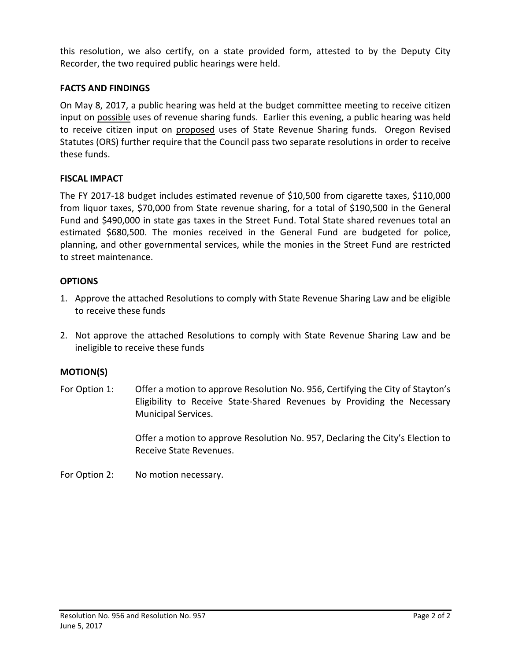this resolution, we also certify, on a state provided form, attested to by the Deputy City Recorder, the two required public hearings were held.

### **FACTS AND FINDINGS**

On May 8, 2017, a public hearing was held at the budget committee meeting to receive citizen input on possible uses of revenue sharing funds. Earlier this evening, a public hearing was held to receive citizen input on proposed uses of State Revenue Sharing funds. Oregon Revised Statutes (ORS) further require that the Council pass two separate resolutions in order to receive these funds.

### **FISCAL IMPACT**

The FY 2017-18 budget includes estimated revenue of \$10,500 from cigarette taxes, \$110,000 from liquor taxes, \$70,000 from State revenue sharing, for a total of \$190,500 in the General Fund and \$490,000 in state gas taxes in the Street Fund. Total State shared revenues total an estimated \$680,500. The monies received in the General Fund are budgeted for police, planning, and other governmental services, while the monies in the Street Fund are restricted to street maintenance.

### **OPTIONS**

- 1. Approve the attached Resolutions to comply with State Revenue Sharing Law and be eligible to receive these funds
- 2. Not approve the attached Resolutions to comply with State Revenue Sharing Law and be ineligible to receive these funds

### **MOTION(S)**

For Option 1: Offer a motion to approve Resolution No. 956, Certifying the City of Stayton's Eligibility to Receive State-Shared Revenues by Providing the Necessary Municipal Services.

> Offer a motion to approve Resolution No. 957, Declaring the City's Election to Receive State Revenues.

For Option 2: No motion necessary.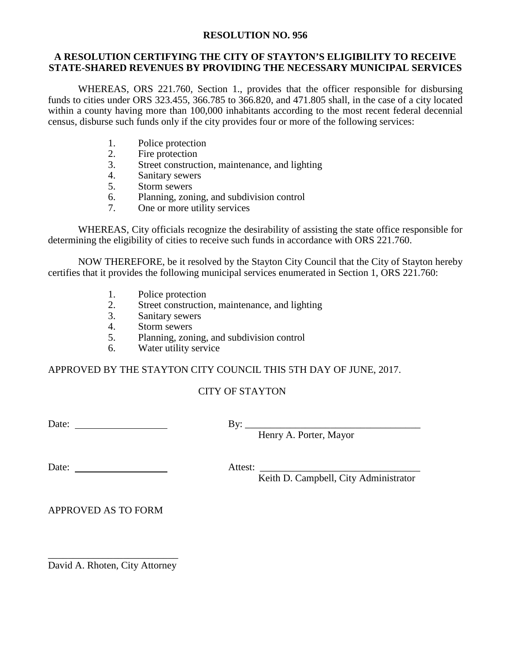#### **RESOLUTION NO. 956**

#### **A RESOLUTION CERTIFYING THE CITY OF STAYTON'S ELIGIBILITY TO RECEIVE STATE-SHARED REVENUES BY PROVIDING THE NECESSARY MUNICIPAL SERVICES**

WHEREAS, ORS 221.760, Section 1., provides that the officer responsible for disbursing funds to cities under ORS 323.455, 366.785 to 366.820, and 471.805 shall, in the case of a city located within a county having more than 100,000 inhabitants according to the most recent federal decennial census, disburse such funds only if the city provides four or more of the following services:

- 1. Police protection<br>2. Fire protection
- Fire protection
- 3. Street construction, maintenance, and lighting
- 4. Sanitary sewers
- 5. Storm sewers
- 6. Planning, zoning, and subdivision control
- 7. One or more utility services

WHEREAS, City officials recognize the desirability of assisting the state office responsible for determining the eligibility of cities to receive such funds in accordance with ORS 221.760.

NOW THEREFORE, be it resolved by the Stayton City Council that the City of Stayton hereby certifies that it provides the following municipal services enumerated in Section 1, ORS 221.760:

- 1. Police protection
- 2. Street construction, maintenance, and lighting
- 3. Sanitary sewers
- 4. Storm sewers
- 5. Planning, zoning, and subdivision control
- 6. Water utility service

APPROVED BY THE STAYTON CITY COUNCIL THIS 5TH DAY OF JUNE, 2017.

### CITY OF STAYTON

Date: By: \_\_\_\_\_\_\_\_\_\_\_\_\_\_\_\_\_\_\_\_\_\_\_\_\_\_\_\_\_\_\_\_\_\_\_

Henry A. Porter, Mayor

Date: Attest: \_\_\_\_\_\_\_\_\_\_\_\_\_\_\_\_\_\_\_\_\_\_\_\_\_\_\_\_\_\_\_\_

Keith D. Campbell, City Administrator

APPROVED AS TO FORM

\_\_\_\_\_\_\_\_\_\_\_\_\_\_\_\_\_\_\_\_\_\_\_\_\_\_ David A. Rhoten, City Attorney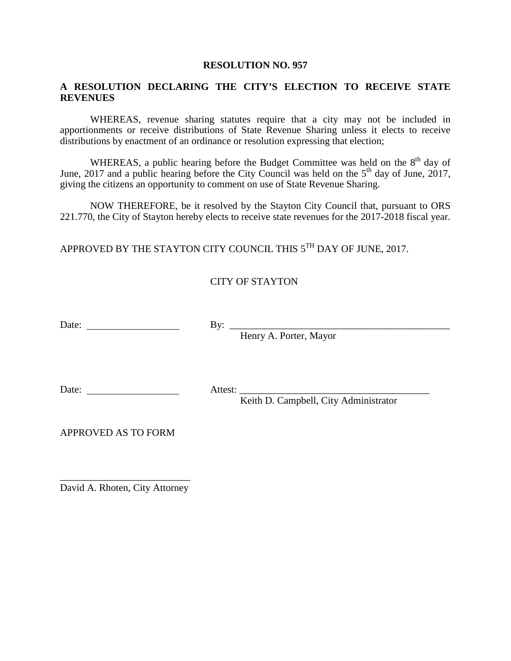#### **RESOLUTION NO. 957**

### **A RESOLUTION DECLARING THE CITY'S ELECTION TO RECEIVE STATE REVENUES**

WHEREAS, revenue sharing statutes require that a city may not be included in apportionments or receive distributions of State Revenue Sharing unless it elects to receive distributions by enactment of an ordinance or resolution expressing that election;

WHEREAS, a public hearing before the Budget Committee was held on the  $8<sup>th</sup>$  day of June, 2017 and a public hearing before the City Council was held on the  $5<sup>th</sup>$  day of June, 2017, giving the citizens an opportunity to comment on use of State Revenue Sharing.

NOW THEREFORE, be it resolved by the Stayton City Council that, pursuant to ORS 221.770, the City of Stayton hereby elects to receive state revenues for the 2017-2018 fiscal year.

APPROVED BY THE STAYTON CITY COUNCIL THIS  $5^{TH}$  DAY OF JUNE, 2017.

### CITY OF STAYTON

Date: By: \_\_\_\_\_\_\_\_\_\_\_\_\_\_\_\_\_\_\_\_\_\_\_\_\_\_\_\_\_\_\_\_\_\_\_\_\_\_\_\_\_\_\_\_

Henry A. Porter, Mayor

Date: Attest: \_\_\_\_\_\_\_\_\_\_\_\_\_\_\_\_\_\_\_\_\_\_\_\_\_\_\_\_\_\_\_\_\_\_\_\_\_\_

Keith D. Campbell, City Administrator

APPROVED AS TO FORM

\_\_\_\_\_\_\_\_\_\_\_\_\_\_\_\_\_\_\_\_\_\_\_\_\_\_ David A. Rhoten, City Attorney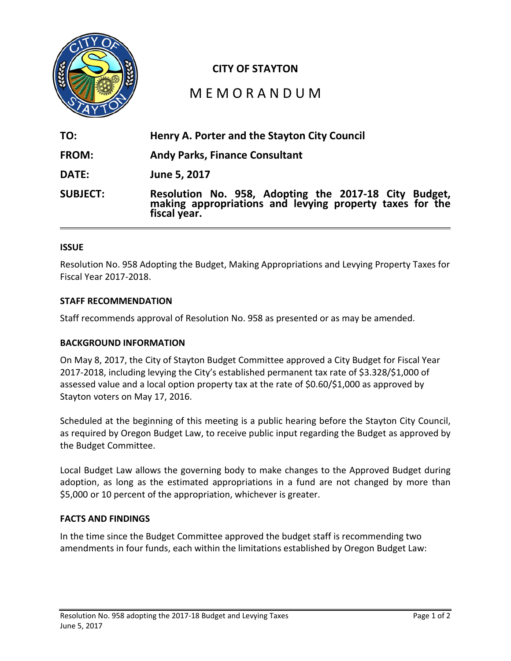

### **CITY OF STAYTON**

# M E M O R A N D U M

| TO:             | Henry A. Porter and the Stayton City Council                                                                                   |
|-----------------|--------------------------------------------------------------------------------------------------------------------------------|
| <b>FROM:</b>    | <b>Andy Parks, Finance Consultant</b>                                                                                          |
| DATE:           | June 5, 2017                                                                                                                   |
| <b>SUBJECT:</b> | Resolution No. 958, Adopting the 2017-18 City Budget, making appropriations and levying property taxes for the<br>fiscal year. |

#### **ISSUE**

Resolution No. 958 Adopting the Budget, Making Appropriations and Levying Property Taxes for Fiscal Year 2017-2018.

#### **STAFF RECOMMENDATION**

Staff recommends approval of Resolution No. 958 as presented or as may be amended.

#### **BACKGROUND INFORMATION**

On May 8, 2017, the City of Stayton Budget Committee approved a City Budget for Fiscal Year 2017-2018, including levying the City's established permanent tax rate of \$3.328/\$1,000 of assessed value and a local option property tax at the rate of \$0.60/\$1,000 as approved by Stayton voters on May 17, 2016.

Scheduled at the beginning of this meeting is a public hearing before the Stayton City Council, as required by Oregon Budget Law, to receive public input regarding the Budget as approved by the Budget Committee.

Local Budget Law allows the governing body to make changes to the Approved Budget during adoption, as long as the estimated appropriations in a fund are not changed by more than \$5,000 or 10 percent of the appropriation, whichever is greater.

#### **FACTS AND FINDINGS**

In the time since the Budget Committee approved the budget staff is recommending two amendments in four funds, each within the limitations established by Oregon Budget Law: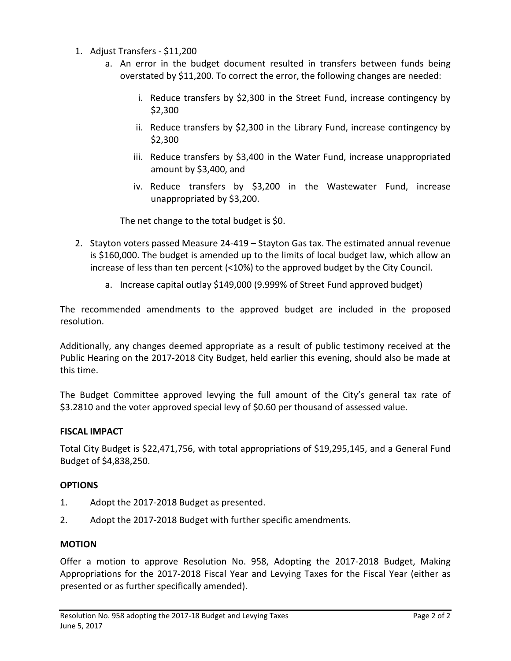- 1. Adjust Transfers \$11,200
	- a. An error in the budget document resulted in transfers between funds being overstated by \$11,200. To correct the error, the following changes are needed:
		- i. Reduce transfers by \$2,300 in the Street Fund, increase contingency by \$2,300
		- ii. Reduce transfers by \$2,300 in the Library Fund, increase contingency by \$2,300
		- iii. Reduce transfers by \$3,400 in the Water Fund, increase unappropriated amount by \$3,400, and
		- iv. Reduce transfers by \$3,200 in the Wastewater Fund, increase unappropriated by \$3,200.

The net change to the total budget is \$0.

- 2. Stayton voters passed Measure 24-419 Stayton Gas tax. The estimated annual revenue is \$160,000. The budget is amended up to the limits of local budget law, which allow an increase of less than ten percent (<10%) to the approved budget by the City Council.
	- a. Increase capital outlay \$149,000 (9.999% of Street Fund approved budget)

The recommended amendments to the approved budget are included in the proposed resolution.

Additionally, any changes deemed appropriate as a result of public testimony received at the Public Hearing on the 2017-2018 City Budget, held earlier this evening, should also be made at this time.

The Budget Committee approved levying the full amount of the City's general tax rate of \$3.2810 and the voter approved special levy of \$0.60 per thousand of assessed value.

### **FISCAL IMPACT**

Total City Budget is \$22,471,756, with total appropriations of \$19,295,145, and a General Fund Budget of \$4,838,250.

### **OPTIONS**

- 1. Adopt the 2017-2018 Budget as presented.
- 2. Adopt the 2017-2018 Budget with further specific amendments.

### **MOTION**

Offer a motion to approve Resolution No. 958, Adopting the 2017-2018 Budget, Making Appropriations for the 2017-2018 Fiscal Year and Levying Taxes for the Fiscal Year (either as presented or as further specifically amended).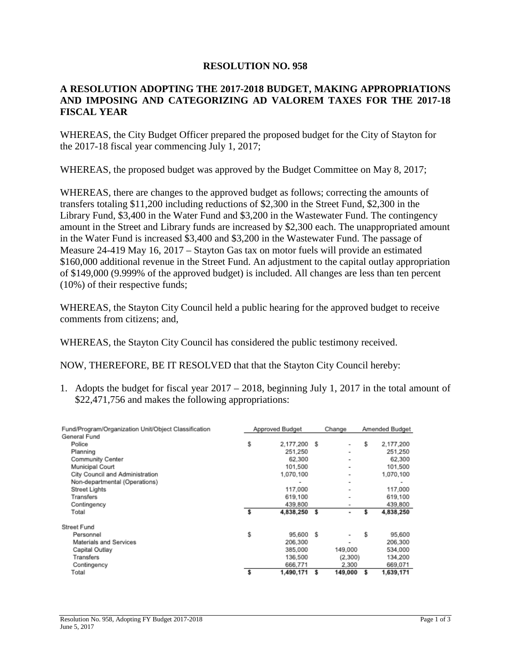### **RESOLUTION NO. 958**

### **A RESOLUTION ADOPTING THE 2017-2018 BUDGET, MAKING APPROPRIATIONS AND IMPOSING AND CATEGORIZING AD VALOREM TAXES FOR THE 2017-18 FISCAL YEAR**

WHEREAS, the City Budget Officer prepared the proposed budget for the City of Stayton for the 2017-18 fiscal year commencing July 1, 2017;

WHEREAS, the proposed budget was approved by the Budget Committee on May 8, 2017;

WHEREAS, there are changes to the approved budget as follows; correcting the amounts of transfers totaling \$11,200 including reductions of \$2,300 in the Street Fund, \$2,300 in the Library Fund, \$3,400 in the Water Fund and \$3,200 in the Wastewater Fund. The contingency amount in the Street and Library funds are increased by \$2,300 each. The unappropriated amount in the Water Fund is increased \$3,400 and \$3,200 in the Wastewater Fund. The passage of Measure 24-419 May 16, 2017 – Stayton Gas tax on motor fuels will provide an estimated \$160,000 additional revenue in the Street Fund. An adjustment to the capital outlay appropriation of \$149,000 (9.999% of the approved budget) is included. All changes are less than ten percent (10%) of their respective funds;

WHEREAS, the Stayton City Council held a public hearing for the approved budget to receive comments from citizens; and,

WHEREAS, the Stayton City Council has considered the public testimony received.

NOW, THEREFORE, BE IT RESOLVED that that the Stayton City Council hereby:

1. Adopts the budget for fiscal year 2017 – 2018, beginning July 1, 2017 in the total amount of \$22,471,756 and makes the following appropriations:

| Fund/Program/Organization Unit/Object Classification |    | Approved Budget |      | Change                       |    | Amended Budget |
|------------------------------------------------------|----|-----------------|------|------------------------------|----|----------------|
| General Fund                                         |    |                 |      |                              |    |                |
| Police                                               | \$ | 2.177.200 \$    |      | $\overline{a}$               | \$ | 2.177,200      |
| Planning                                             |    | 251.250         |      | $\overline{\phantom{0}}$     |    | 251,250        |
| Community Center                                     |    | 62,300          |      | $\overline{\phantom{0}}$     |    | 62,300         |
| Municipal Court                                      |    | 101,500         |      | -                            |    | 101,500        |
| City Council and Administration                      |    | 1.070.100       |      | -                            |    | 1.070.100      |
| Non-departmental (Operations)                        |    |                 |      | -                            |    | -              |
| Street Lights                                        |    | 117,000         |      | ٠                            |    | 117.000        |
| Transfers                                            |    | 619.100         |      | -                            |    | 619.100        |
| Contingency                                          |    | 439,800         |      | -                            |    | 439,800        |
| Total                                                | \$ | 4,838,250       | s    | ۰                            | s  | 4,838,250      |
| Street Fund                                          |    |                 |      |                              |    |                |
| Personnel                                            | \$ | 95,600          | - \$ | ۰                            | s  | 95,600         |
| Materials and Services                               |    | 206.300         |      | $\qquad \qquad \blacksquare$ |    | 206.300        |
| Capital Outlay                                       |    | 385,000         |      | 149,000                      |    | 534,000        |
| Transfers                                            |    | 136,500         |      | (2,300)                      |    | 134,200        |
| Contingency                                          |    | 666.771         |      | 2.300                        |    | 669,071        |
| Total                                                | s  | 1,490,171       | s    | 149,000                      |    | 1,639,171      |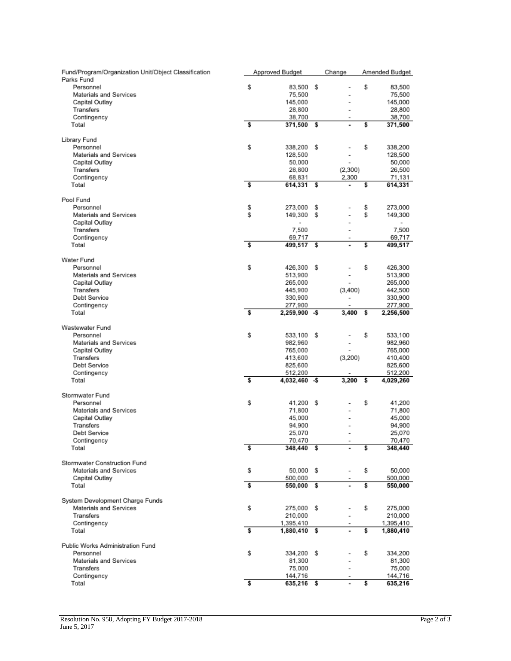| Fund/Program/Organization Unit/Object Classification<br>Parks Fund |    | Approved Budget |     | Change                   |    | Amended Budget |
|--------------------------------------------------------------------|----|-----------------|-----|--------------------------|----|----------------|
| Personnel                                                          | \$ | 83,500 \$       |     |                          | \$ | 83,500         |
| Materials and Services                                             |    | 75,500          |     |                          |    | 75,500         |
| Capital Outlay                                                     |    | 145,000         |     | $\overline{a}$           |    | 145,000        |
| Transfers                                                          |    | 28,800          |     |                          |    | 28,800         |
| Contingency                                                        |    | 38,700          |     |                          |    | 38,700         |
| Total                                                              | \$ | 371,500         | - S | ٠                        | \$ | 371,500        |
| Library Fund                                                       |    |                 |     |                          |    |                |
| Personnel                                                          | \$ | 338,200         | -S  |                          | \$ | 338,200        |
| Materials and Services                                             |    | 128,500         |     | $\overline{a}$           |    | 128,500        |
| Capital Outlay                                                     |    | 50,000          |     | $\overline{\phantom{a}}$ |    | 50,000         |
| Transfers                                                          |    | 28,800          |     | (2,300)                  |    | 26,500         |
| Contingency                                                        |    | 68,831          |     | 2,300                    |    | 71,131         |
| Total                                                              | \$ | 614,331 \$      |     |                          | \$ | 614,331        |
| Pool Fund                                                          |    |                 |     |                          |    |                |
| Personnel                                                          | \$ | 273,000         | s   |                          | \$ | 273,000        |
| Materials and Services                                             | \$ | 149,300 \$      |     |                          | \$ | 149,300        |
| Capital Outlay                                                     |    | $\overline{a}$  |     |                          |    |                |
| Transfers                                                          |    | 7.500           |     | $\overline{a}$           |    | 7.500          |
| Contingency                                                        |    | 69,717          |     |                          |    | 69,717         |
| Total                                                              | \$ | 499,517         | s   | ٠                        | \$ | 499,517        |
| Water Fund                                                         |    |                 |     |                          |    |                |
| Personnel                                                          | \$ | 426,300         | -S  |                          | \$ | 426,300        |
| Materials and Services                                             |    | 513,900         |     |                          |    | 513,900        |
| Capital Outlay                                                     |    | 265,000         |     |                          |    | 265,000        |
| Transfers                                                          |    | 445,900         |     | (3,400)                  |    | 442,500        |
| Debt Service                                                       |    | 330,900         |     |                          |    | 330,900        |
| Contingency                                                        |    | 277,900         |     |                          |    | 277,900        |
| Total                                                              | s  |                 |     | 3,400                    | s  |                |
|                                                                    |    | 2,259,900 - \$  |     |                          |    | 2,256,500      |
| Wastewater Fund                                                    |    |                 |     |                          |    |                |
| Personnel                                                          | \$ | 533.100         | -S  |                          | \$ | 533,100        |
| Materials and Services                                             |    | 982,960         |     | $\overline{a}$           |    | 982,960        |
| Capital Outlay                                                     |    | 765,000         |     |                          |    | 765,000        |
| Transfers                                                          |    | 413,600         |     | (3,200)                  |    | 410,400        |
| Debt Service                                                       |    | 825,600         |     |                          |    | 825,600        |
| Contingency                                                        |    | 512,200         |     |                          |    | 512,200        |
| Total                                                              | \$ | 4,032,460 - \$  |     | 3,200                    | s  | 4,029,260      |
| Stormwater Fund                                                    |    |                 |     |                          |    |                |
| Personnel                                                          | \$ | 41,200 \$       |     |                          | \$ | 41,200         |
| Materials and Services                                             |    | 71,800          |     |                          |    | 71,800         |
| Capital Outlay                                                     |    | 45,000          |     |                          |    | 45,000         |
| Transfers                                                          |    | 94,900          |     |                          |    | 94,900         |
| Debt Service                                                       |    | 25,070          |     | $\overline{a}$           |    | 25,070         |
| Contingency                                                        |    | 70,470          |     |                          |    | 70,470         |
| Total                                                              | \$ | 348,440 \$      |     |                          | \$ | 348,440        |
| Stormwater Construction Fund                                       |    |                 |     |                          |    |                |
| Materials and Services                                             | \$ | 50,000 \$       |     |                          | \$ | 50,000         |
| Capital Outlay                                                     |    | 500,000         |     |                          |    | 500,000        |
| Total                                                              | \$ | 550,000 \$      |     |                          | \$ | 550,000        |
| System Development Charge Funds                                    |    |                 |     |                          |    |                |
| Materials and Services                                             | \$ | 275,000 \$      |     |                          | \$ | 275,000        |
| <b>Transfers</b>                                                   |    | 210,000         |     |                          |    | 210,000        |
| Contingency                                                        |    | 1,395,410       |     |                          |    | 1,395,410      |
| Total                                                              | \$ | 1,880,410 \$    |     |                          | \$ | 1,880,410      |
|                                                                    |    |                 |     |                          |    |                |
| Public Works Administration Fund                                   |    |                 |     |                          |    |                |
| Personnel                                                          | \$ | 334,200 \$      |     |                          | \$ | 334,200        |
| Materials and Services                                             |    | 81,300          |     |                          |    | 81,300         |
| Transfers                                                          |    | 75,000          |     |                          |    | 75,000         |
| Contingency                                                        |    | 144,716         |     |                          |    | 144,716        |
| Total                                                              | \$ | 635,216 \$      |     | ۰                        | \$ | 635,216        |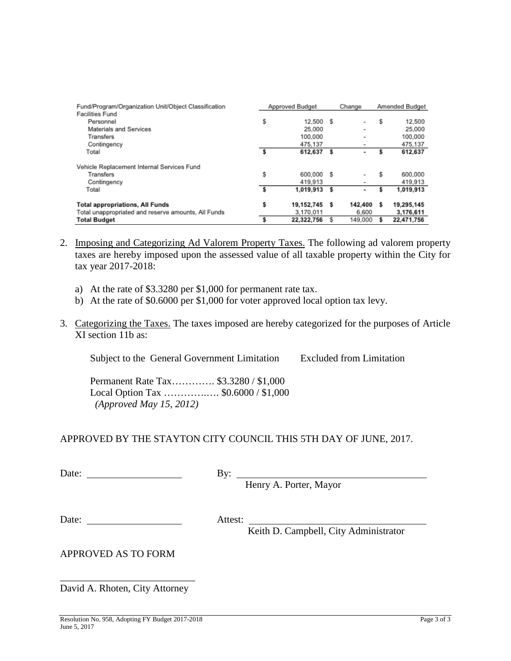| Fund/Program/Organization Unit/Object Classification | Approved Budget  |      | Change                   |     | Amended Budget |
|------------------------------------------------------|------------------|------|--------------------------|-----|----------------|
| <b>Facilities Fund</b><br>Personnel                  | \$<br>12.500     | - \$ | $\qquad \qquad$          | s   | 12,500         |
| Materials and Services                               | 25,000           |      | ٠                        |     | 25,000         |
| Transfers                                            | 100.000          |      | -                        |     | 100,000        |
| Contingency                                          | 475.137          |      | $\overline{\phantom{0}}$ |     | 475.137        |
| Total                                                | 612,637          | \$   | ۰                        |     | 612,637        |
| Vehicle Replacement Internal Services Fund           |                  |      |                          |     |                |
| Transfers                                            | \$<br>600.000    | £.   | -                        | ŝ   | 600.000        |
| Contingency                                          | 419.913          |      | $\overline{\phantom{0}}$ |     | 419.913        |
| Total                                                | 1.019.913        | s    | ۰                        |     | 1.019.913      |
| <b>Total appropriations, All Funds</b>               | \$<br>19,152,745 | s    | 142.400                  | - s | 19,295,145     |
| Total unappropriated and reserve amounts, All Funds  | 3.170.011        |      | 6.600                    |     | 3,176,611      |
| <b>Total Budget</b>                                  | 22,322,756       |      | 149,000                  |     | 22,471.756     |

- 2. Imposing and Categorizing Ad Valorem Property Taxes. The following ad valorem property taxes are hereby imposed upon the assessed value of all taxable property within the City for tax year 2017-2018:
	- a) At the rate of \$3.3280 per \$1,000 for permanent rate tax.
	- b) At the rate of \$0.6000 per \$1,000 for voter approved local option tax levy.
- 3. Categorizing the Taxes. The taxes imposed are hereby categorized for the purposes of Article XI section 11b as:

Subject to the General Government Limitation Excluded from Limitation

Permanent Rate Tax…………. \$3.3280 / \$1,000 Local Option Tax .................. \$0.6000 / \$1,000 *(Approved May 15, 2012)*

### APPROVED BY THE STAYTON CITY COUNCIL THIS 5TH DAY OF JUNE, 2017.

| Date: | Bv: |
|-------|-----|
|       |     |

Henry A. Porter, Mayor

Date: Attest:

Keith D. Campbell, City Administrator

APPROVED AS TO FORM

\_\_\_\_\_\_\_\_\_\_\_\_\_\_\_\_\_\_\_\_\_\_\_\_\_\_\_ David A. Rhoten, City Attorney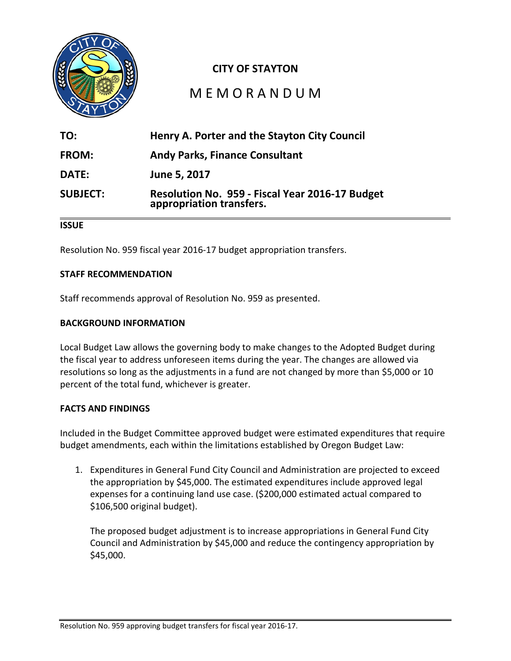

# **CITY OF STAYTON**

# M E M O R A N D U M

| TO:             | Henry A. Porter and the Stayton City Council                                |
|-----------------|-----------------------------------------------------------------------------|
| FROM:           | <b>Andy Parks, Finance Consultant</b>                                       |
| <b>DATE:</b>    | June 5, 2017                                                                |
| <b>SUBJECT:</b> | Resolution No. 959 - Fiscal Year 2016-17 Budget<br>appropriation transfers. |

### **ISSUE**

Resolution No. 959 fiscal year 2016-17 budget appropriation transfers.

#### **STAFF RECOMMENDATION**

Staff recommends approval of Resolution No. 959 as presented.

#### **BACKGROUND INFORMATION**

Local Budget Law allows the governing body to make changes to the Adopted Budget during the fiscal year to address unforeseen items during the year. The changes are allowed via resolutions so long as the adjustments in a fund are not changed by more than \$5,000 or 10 percent of the total fund, whichever is greater.

#### **FACTS AND FINDINGS**

Included in the Budget Committee approved budget were estimated expenditures that require budget amendments, each within the limitations established by Oregon Budget Law:

1. Expenditures in General Fund City Council and Administration are projected to exceed the appropriation by \$45,000. The estimated expenditures include approved legal expenses for a continuing land use case. (\$200,000 estimated actual compared to \$106,500 original budget).

The proposed budget adjustment is to increase appropriations in General Fund City Council and Administration by \$45,000 and reduce the contingency appropriation by \$45,000.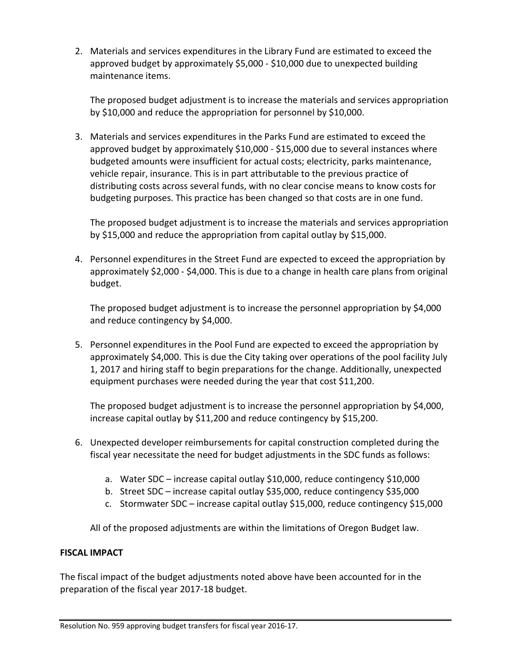2. Materials and services expenditures in the Library Fund are estimated to exceed the approved budget by approximately \$5,000 - \$10,000 due to unexpected building maintenance items.

The proposed budget adjustment is to increase the materials and services appropriation by \$10,000 and reduce the appropriation for personnel by \$10,000.

3. Materials and services expenditures in the Parks Fund are estimated to exceed the approved budget by approximately \$10,000 - \$15,000 due to several instances where budgeted amounts were insufficient for actual costs; electricity, parks maintenance, vehicle repair, insurance. This is in part attributable to the previous practice of distributing costs across several funds, with no clear concise means to know costs for budgeting purposes. This practice has been changed so that costs are in one fund.

The proposed budget adjustment is to increase the materials and services appropriation by \$15,000 and reduce the appropriation from capital outlay by \$15,000.

4. Personnel expenditures in the Street Fund are expected to exceed the appropriation by approximately \$2,000 - \$4,000. This is due to a change in health care plans from original budget.

The proposed budget adjustment is to increase the personnel appropriation by \$4,000 and reduce contingency by \$4,000.

5. Personnel expenditures in the Pool Fund are expected to exceed the appropriation by approximately \$4,000. This is due the City taking over operations of the pool facility July 1, 2017 and hiring staff to begin preparations for the change. Additionally, unexpected equipment purchases were needed during the year that cost \$11,200.

The proposed budget adjustment is to increase the personnel appropriation by \$4,000, increase capital outlay by \$11,200 and reduce contingency by \$15,200.

- 6. Unexpected developer reimbursements for capital construction completed during the fiscal year necessitate the need for budget adjustments in the SDC funds as follows:
	- a. Water SDC increase capital outlay \$10,000, reduce contingency \$10,000
	- b. Street SDC increase capital outlay \$35,000, reduce contingency \$35,000
	- c. Stormwater SDC increase capital outlay \$15,000, reduce contingency \$15,000

All of the proposed adjustments are within the limitations of Oregon Budget law.

### **FISCAL IMPACT**

The fiscal impact of the budget adjustments noted above have been accounted for in the preparation of the fiscal year 2017-18 budget.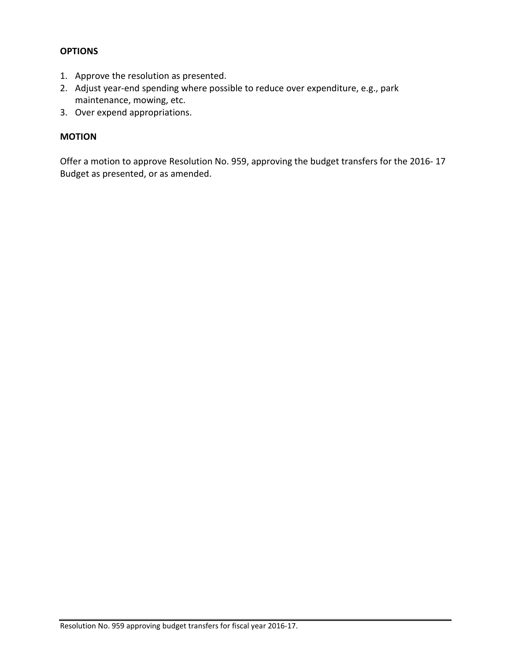### **OPTIONS**

- 1. Approve the resolution as presented.
- 2. Adjust year-end spending where possible to reduce over expenditure, e.g., park maintenance, mowing, etc.
- 3. Over expend appropriations.

### **MOTION**

Offer a motion to approve Resolution No. 959, approving the budget transfers for the 2016- 17 Budget as presented, or as amended.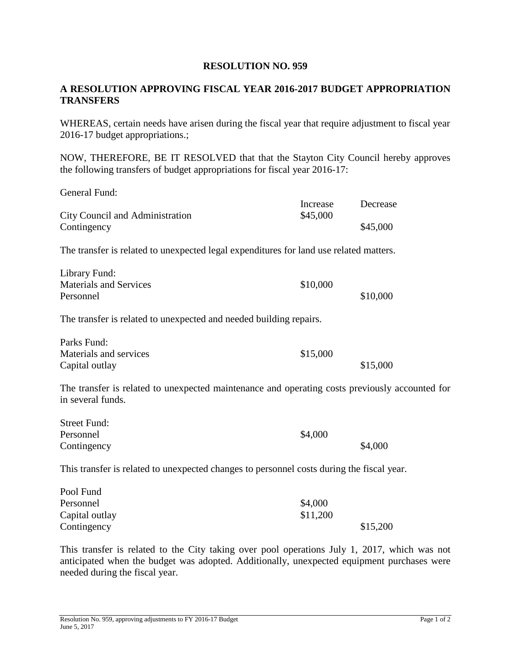### **RESOLUTION NO. 959**

### **A RESOLUTION APPROVING FISCAL YEAR 2016-2017 BUDGET APPROPRIATION TRANSFERS**

WHEREAS, certain needs have arisen during the fiscal year that require adjustment to fiscal year 2016-17 budget appropriations.;

NOW, THEREFORE, BE IT RESOLVED that that the Stayton City Council hereby approves the following transfers of budget appropriations for fiscal year 2016-17:

| General Fund:                                                                                                       |          |          |
|---------------------------------------------------------------------------------------------------------------------|----------|----------|
|                                                                                                                     | Increase | Decrease |
| City Council and Administration                                                                                     | \$45,000 |          |
| Contingency                                                                                                         |          | \$45,000 |
| The transfer is related to unexpected legal expenditures for land use related matters.                              |          |          |
| Library Fund:                                                                                                       |          |          |
| <b>Materials and Services</b>                                                                                       | \$10,000 |          |
| Personnel                                                                                                           |          | \$10,000 |
| The transfer is related to unexpected and needed building repairs.                                                  |          |          |
| Parks Fund:                                                                                                         |          |          |
| Materials and services                                                                                              | \$15,000 |          |
| Capital outlay                                                                                                      |          | \$15,000 |
| The transfer is related to unexpected maintenance and operating costs previously accounted for<br>in several funds. |          |          |
| <b>Street Fund:</b>                                                                                                 |          |          |
| Personnel                                                                                                           | \$4,000  |          |
| Contingency                                                                                                         |          | \$4,000  |
| This transfer is related to unexpected changes to personnel costs during the fiscal year.                           |          |          |
| Pool Fund                                                                                                           |          |          |
| Personnel                                                                                                           | \$4,000  |          |
|                                                                                                                     |          |          |

This transfer is related to the City taking over pool operations July 1, 2017, which was not anticipated when the budget was adopted. Additionally, unexpected equipment purchases were needed during the fiscal year.

Capital outlay  $$11,200$ 

Contingency \$15,200